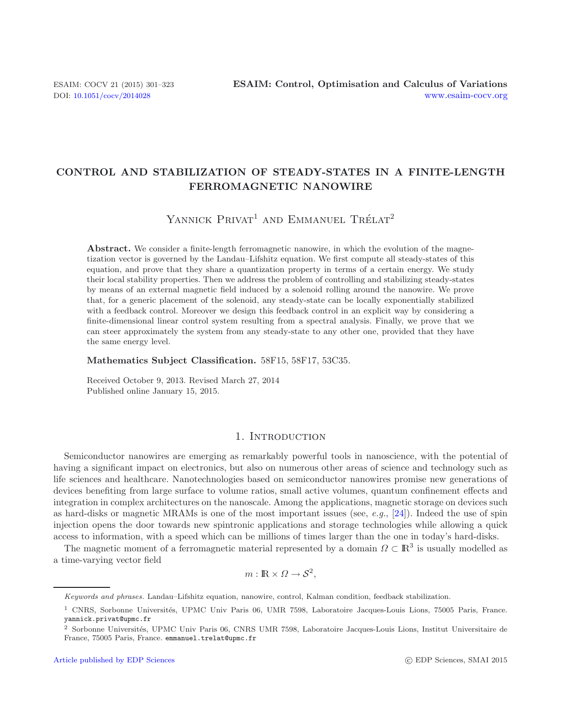# **CONTROL AND STABILIZATION OF STEADY-STATES IN A FINITE-LENGTH FERROMAGNETIC NANOWIRE**

YANNICK  $P$ RIVAT<sup>1</sup> AND EMMANUEL TRÉLAT<sup>2</sup>

Abstract. We consider a finite-length ferromagnetic nanowire, in which the evolution of the magnetization vector is governed by the Landau–Lifshitz equation. We first compute all steady-states of this equation, and prove that they share a quantization property in terms of a certain energy. We study their local stability properties. Then we address the problem of controlling and stabilizing steady-states by means of an external magnetic field induced by a solenoid rolling around the nanowire. We prove that, for a generic placement of the solenoid, any steady-state can be locally exponentially stabilized with a feedback control. Moreover we design this feedback control in an explicit way by considering a finite-dimensional linear control system resulting from a spectral analysis. Finally, we prove that we can steer approximately the system from any steady-state to any other one, provided that they have the same energy level.

**Mathematics Subject Classification.** 58F15, 58F17, 53C35.

Received October 9, 2013. Revised March 27, 2014 Published online January 15, 2015.

# 1. INTRODUCTION

Semiconductor nanowires are emerging as remarkably powerful tools in nanoscience, with the potential of having a significant impact on electronics, but also on numerous other areas of science and technology such as life sciences and healthcare. Nanotechnologies based on semiconductor nanowires promise new generations of devices benefiting from large surface to volume ratios, small active volumes, quantum confinement effects and integration in complex architectures on the nanoscale. Among the applications, magnetic storage on devices such as hard-disks or magnetic MRAMs is one of the most important issues (see, *e.g.*, [\[24\]](#page-22-0)). Indeed the use of spin injection opens the door towards new spintronic applications and storage technologies while allowing a quick access to information, with a speed which can be millions of times larger than the one in today's hard-disks.

The magnetic moment of a ferromagnetic material represented by a domain  $\Omega \subset \mathbb{R}^3$  is usually modelled as a time-varying vector field

$$
m: \mathbb{R} \times \Omega \to \mathcal{S}^2,
$$

Keywords and phrases. Landau–Lifshitz equation, nanowire, control, Kalman condition, feedback stabilization.

<sup>&</sup>lt;sup>1</sup> CNRS, Sorbonne Universités, UPMC Univ Paris 06, UMR 7598, Laboratoire Jacques-Louis Lions, 75005 Paris, France. yannick.privat@upmc.fr

<sup>&</sup>lt;sup>2</sup> Sorbonne Universités, UPMC Univ Paris 06, CNRS UMR 7598, Laboratoire Jacques-Louis Lions, Institut Universitaire de France, 75005 Paris, France. emmanuel.trelat@upmc.fr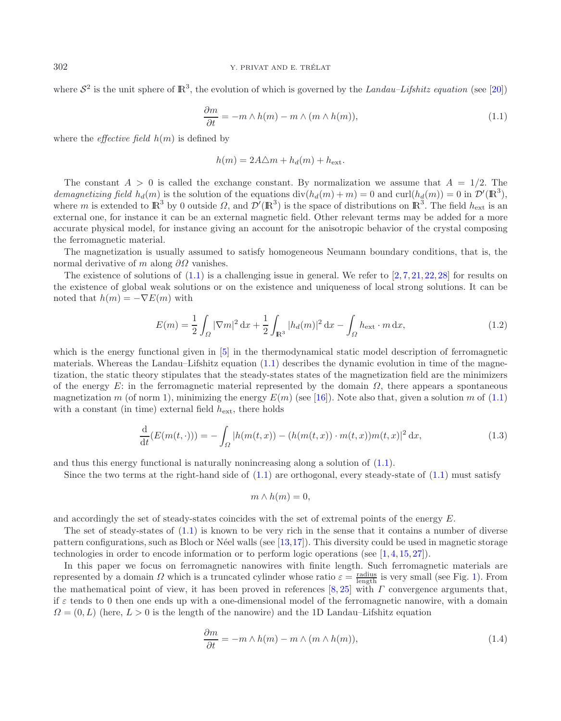where  $S^2$  is the unit sphere of  $\mathbb{R}^3$ , the evolution of which is governed by the *Landau–Lifshitz equation* (see [\[20](#page-21-0)])

$$
\frac{\partial m}{\partial t} = -m \wedge h(m) - m \wedge (m \wedge h(m)),\tag{1.1}
$$

<span id="page-1-2"></span>where the *effective field*  $h(m)$  is defined by

$$
h(m) = 2A\triangle m + h_d(m) + h_{\text{ext}}.
$$

The constant  $A > 0$  is called the exchange constant. By normalization we assume that  $A = 1/2$ . The demagnetizing field  $h_d(m)$  is the solution of the equations  $\text{div}(h_d(m) + m) = 0$  and  $\text{curl}(h_d(m)) = 0$  in  $\mathcal{D}'(\mathbb{R}^3)$ , where m is extended to  $\mathbb{R}^3$  by 0 outside  $\Omega$ , and  $\mathcal{D}'(\mathbb{R}^3)$  is the space of distributions on  $\mathbb{R}^3$ . The field  $h_{\text{ext}}$  is an external one, for instance it can be an external magnetic field. Other relevant terms may be added for a more accurate physical model, for instance giving an account for the anisotropic behavior of the crystal composing the ferromagnetic material.

The magnetization is usually assumed to satisfy homogeneous Neumann boundary conditions, that is, the normal derivative of m along  $\partial\Omega$  vanishes.

The existence of solutions of  $(1.1)$  is a challenging issue in general. We refer to  $[2, 7, 21, 22, 28]$  $[2, 7, 21, 22, 28]$  $[2, 7, 21, 22, 28]$  $[2, 7, 21, 22, 28]$  $[2, 7, 21, 22, 28]$  $[2, 7, 21, 22, 28]$  $[2, 7, 21, 22, 28]$  $[2, 7, 21, 22, 28]$  $[2, 7, 21, 22, 28]$  for results on the existence of global weak solutions or on the existence and uniqueness of local strong solutions. It can be noted that  $h(m) = -\nabla E(m)$  with

<span id="page-1-3"></span>
$$
E(m) = \frac{1}{2} \int_{\Omega} |\nabla m|^2 \, dx + \frac{1}{2} \int_{\mathbb{R}^3} |h_d(m)|^2 \, dx - \int_{\Omega} h_{\text{ext}} \cdot m \, dx,\tag{1.2}
$$

which is the energy functional given in [\[5\]](#page-21-5) in the thermodynamical static model description of ferromagnetic materials. Whereas the Landau–Lifshitz equation  $(1.1)$  describes the dynamic evolution in time of the magnetization, the static theory stipulates that the steady-states states of the magnetization field are the minimizers of the energy E: in the ferromagnetic material represented by the domain  $\Omega$ , there appears a spontaneous magnetization m (of norm 1), minimizing the energy  $E(m)$  (see [\[16\]](#page-21-6)). Note also that, given a solution m of [\(1.1\)](#page-1-0) with a constant (in time) external field  $h_{\text{ext}}$ , there holds

$$
\frac{d}{dt}(E(m(t,\cdot))) = -\int_{\Omega} |h(m(t,x)) - (h(m(t,x)) \cdot m(t,x))m(t,x)|^2 dx, \tag{1.3}
$$

and thus this energy functional is naturally nonincreasing along a solution of  $(1.1)$ .

Since the two terms at the right-hand side of  $(1.1)$  are orthogonal, every steady-state of  $(1.1)$  must satisfy

<span id="page-1-1"></span>
$$
m \wedge h(m) = 0,
$$

and accordingly the set of steady-states coincides with the set of extremal points of the energy E.

The set of steady-states of [\(1.1\)](#page-1-0) is known to be very rich in the sense that it contains a number of diverse pattern configurations, such as Bloch or Néel walls (see  $[13,17]$  $[13,17]$ ). This diversity could be used in magnetic storage technologies in order to encode information or to perform logic operations (see [\[1,](#page-21-9) [4,](#page-21-10) [15,](#page-21-11) [27\]](#page-22-2)).

In this paper we focus on ferromagnetic nanowires with finite length. Such ferromagnetic materials are represented by a domain  $\Omega$  which is a truncated cylinder whose ratio  $\varepsilon = \frac{\text{radius}}{\text{length}}$  is very small (see Fig. [1\)](#page-2-0). From the mathematical point of view, it has been proved in references  $[8, 25]$  $[8, 25]$  $[8, 25]$  with  $\Gamma$  convergence arguments that, if  $\varepsilon$  tends to 0 then one ends up with a one-dimensional model of the ferromagnetic nanowire, with a domain  $\Omega = (0, L)$  (here,  $L > 0$  is the length of the nanowire) and the 1D Landau–Lifshitz equation

$$
\frac{\partial m}{\partial t} = -m \wedge h(m) - m \wedge (m \wedge h(m)),\tag{1.4}
$$

<span id="page-1-0"></span>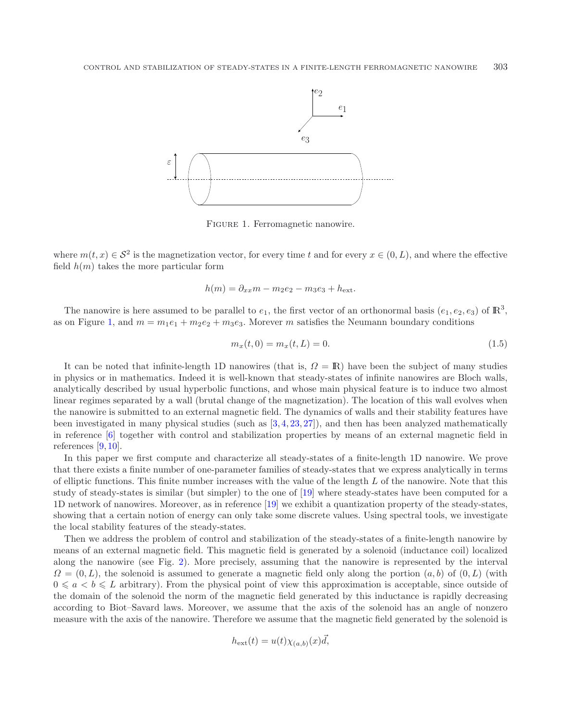<span id="page-2-0"></span>

<span id="page-2-1"></span>Figure 1. Ferromagnetic nanowire.

where  $m(t, x) \in \mathcal{S}^2$  is the magnetization vector, for every time t and for every  $x \in (0, L)$ , and where the effective field  $h(m)$  takes the more particular form

$$
h(m) = \partial_{xx}m - m_2e_2 - m_3e_3 + h_{\text{ext}}.
$$

The nanowire is here assumed to be parallel to  $e_1$ , the first vector of an orthonormal basis  $(e_1, e_2, e_3)$  of  $\mathbb{R}^3$ . as on Figure [1,](#page-2-0) and  $m = m_1e_1 + m_2e_2 + m_3e_3$ . Morever m satisfies the Neumann boundary conditions

$$
m_x(t,0) = m_x(t,L) = 0.
$$
\n(1.5)

It can be noted that infinite-length 1D nanowires (that is,  $\Omega = \mathbb{R}$ ) have been the subject of many studies in physics or in mathematics. Indeed it is well-known that steady-states of infinite nanowires are Bloch walls, analytically described by usual hyperbolic functions, and whose main physical feature is to induce two almost linear regimes separated by a wall (brutal change of the magnetization). The location of this wall evolves when the nanowire is submitted to an external magnetic field. The dynamics of walls and their stability features have been investigated in many physical studies (such as [\[3,](#page-21-13) [4,](#page-21-10) [23,](#page-22-4) [27](#page-22-2)]), and then has been analyzed mathematically in reference [\[6\]](#page-21-14) together with control and stabilization properties by means of an external magnetic field in references [\[9](#page-21-15), [10](#page-21-16)].

In this paper we first compute and characterize all steady-states of a finite-length 1D nanowire. We prove that there exists a finite number of one-parameter families of steady-states that we express analytically in terms of elliptic functions. This finite number increases with the value of the length  $L$  of the nanowire. Note that this study of steady-states is similar (but simpler) to the one of [\[19](#page-21-17)] where steady-states have been computed for a 1D network of nanowires. Moreover, as in reference [\[19](#page-21-17)] we exhibit a quantization property of the steady-states, showing that a certain notion of energy can only take some discrete values. Using spectral tools, we investigate the local stability features of the steady-states.

Then we address the problem of control and stabilization of the steady-states of a finite-length nanowire by means of an external magnetic field. This magnetic field is generated by a solenoid (inductance coil) localized along the nanowire (see Fig. [2\)](#page-3-0). More precisely, assuming that the nanowire is represented by the interval  $\Omega = (0, L)$ , the solenoid is assumed to generate a magnetic field only along the portion  $(a, b)$  of  $(0, L)$  (with  $0 \leq a < b \leq L$  arbitrary). From the physical point of view this approximation is acceptable, since outside of the domain of the solenoid the norm of the magnetic field generated by this inductance is rapidly decreasing according to Biot–Savard laws. Moreover, we assume that the axis of the solenoid has an angle of nonzero measure with the axis of the nanowire. Therefore we assume that the magnetic field generated by the solenoid is

$$
h_{\text{ext}}(t) = u(t)\chi_{(a,b)}(x)\vec{d},
$$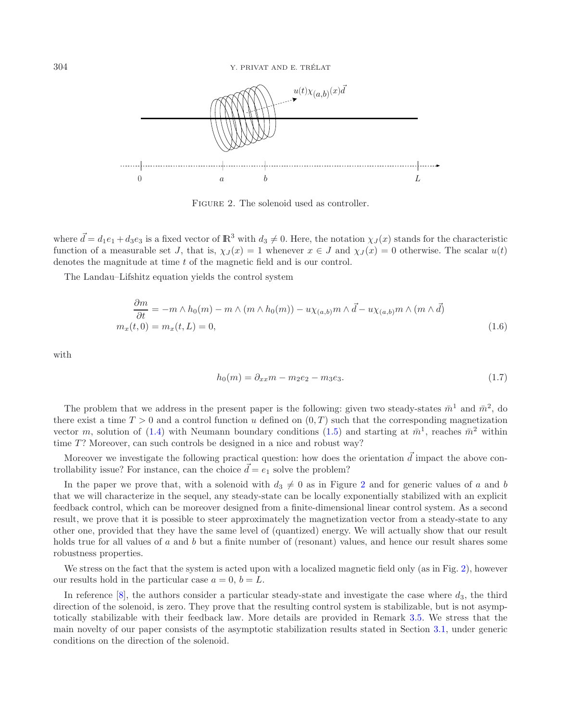<span id="page-3-0"></span>

FIGURE 2. The solenoid used as controller.

<span id="page-3-1"></span>where  $\vec{d} = d_1e_1 + d_3e_3$  is a fixed vector of  $\mathbb{R}^3$  with  $d_3 \neq 0$ . Here, the notation  $\chi_J(x)$  stands for the characteristic function of a measurable set J, that is,  $\chi_J(x) = 1$  whenever  $x \in J$  and  $\chi_J(x) = 0$  otherwise. The scalar  $u(t)$ denotes the magnitude at time t of the magnetic field and is our control.

<span id="page-3-2"></span>The Landau–Lifshitz equation yields the control system

$$
\frac{\partial m}{\partial t} = -m \wedge h_0(m) - m \wedge (m \wedge h_0(m)) - u \chi_{(a,b)} m \wedge \vec{d} - u \chi_{(a,b)} m \wedge (m \wedge \vec{d})
$$
  

$$
m_x(t,0) = m_x(t,L) = 0,
$$
 (1.6)

with

$$
h_0(m) = \partial_{xx}m - m_2e_2 - m_3e_3. \tag{1.7}
$$

The problem that we address in the present paper is the following: given two steady-states  $\bar{m}^1$  and  $\bar{m}^2$ , do there exist a time  $T > 0$  and a control function u defined on  $(0, T)$  such that the corresponding magnetization vector m, solution of [\(1.4\)](#page-1-1) with Neumann boundary conditions [\(1.5\)](#page-2-1) and starting at  $\bar{m}^1$ , reaches  $\bar{m}^2$  within time  $T$ ? Moreover, can such controls be designed in a nice and robust way?

Moreover we investigate the following practical question: how does the orientation  $\vec{d}$  impact the above controllability issue? For instance, can the choice  $\overrightarrow{d} = e_1$  solve the problem?

In the paper we prove that, with a solenoid with  $d_3 \neq 0$  as in Figure [2](#page-3-0) and for generic values of a and b that we will characterize in the sequel, any steady-state can be locally exponentially stabilized with an explicit feedback control, which can be moreover designed from a finite-dimensional linear control system. As a second result, we prove that it is possible to steer approximately the magnetization vector from a steady-state to any other one, provided that they have the same level of (quantized) energy. We will actually show that our result holds true for all values of a and b but a finite number of (resonant) values, and hence our result shares some robustness properties.

We stress on the fact that the system is acted upon with a localized magnetic field only (as in Fig. [2\)](#page-3-0), however our results hold in the particular case  $a = 0, b = L$ .

In reference  $[8]$ , the authors consider a particular steady-state and investigate the case where  $d_3$ , the third direction of the solenoid, is zero. They prove that the resulting control system is stabilizable, but is not asymptotically stabilizable with their feedback law. More details are provided in Remark [3.5.](#page-13-0) We stress that the main novelty of our paper consists of the asymptotic stabilization results stated in Section [3.1,](#page-12-0) under generic conditions on the direction of the solenoid.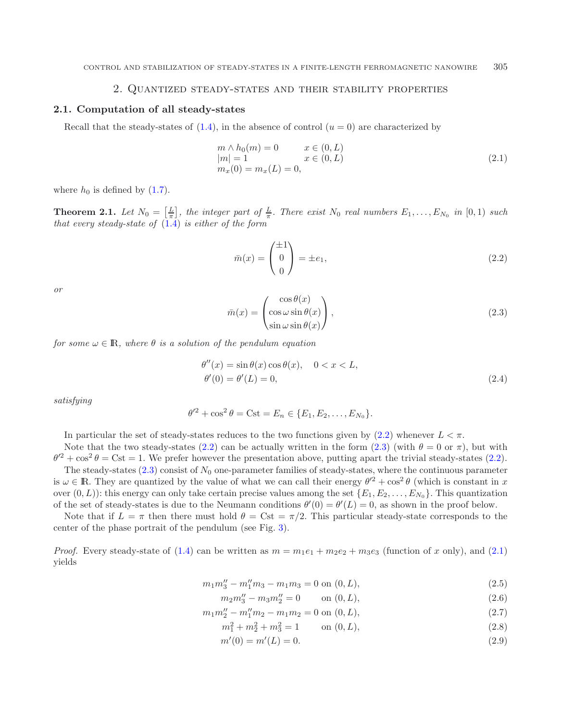# 2. Quantized steady-states and their stability properties

### <span id="page-4-1"></span>**2.1. Computation of all steady-states**

Recall that the steady-states of  $(1.4)$ , in the absence of control  $(u = 0)$  are characterized by

<span id="page-4-2"></span><span id="page-4-0"></span>
$$
m \wedge h_0(m) = 0 \qquad x \in (0, L)
$$
  
\n
$$
|m| = 1 \qquad x \in (0, L)
$$
  
\n
$$
m_x(0) = m_x(L) = 0,
$$
\n(2.1)

where  $h_0$  is defined by  $(1.7)$ .

**Theorem 2.1.** Let  $N_0 = \left[\frac{L}{\pi}\right]$ , the integer part of  $\frac{L}{\pi}$ . There exist  $N_0$  real numbers  $E_1, \ldots, E_{N_0}$  in  $[0,1)$  such *that every steady-state of* [\(1.4\)](#page-1-1) *is either of the form*

$$
\bar{m}(x) = \begin{pmatrix} \pm 1 \\ 0 \\ 0 \end{pmatrix} = \pm e_1,\tag{2.2}
$$

*or*

$$
\bar{m}(x) = \begin{pmatrix} \cos \theta(x) \\ \cos \omega \sin \theta(x) \\ \sin \omega \sin \theta(x) \end{pmatrix},
$$
\n(2.3)

*for some*  $\omega \in \mathbb{R}$ *, where*  $\theta$  *is a solution of the pendulum equation* 

<span id="page-4-4"></span>
$$
\theta''(x) = \sin \theta(x) \cos \theta(x), \quad 0 < x < L, \n\theta'(0) = \theta'(L) = 0,
$$
\n(2.4)

*satisfying*

$$
\theta'^{2} + \cos^{2} \theta = \text{Cst} = E_{n} \in \{E_{1}, E_{2}, \ldots, E_{N_{0}}\}.
$$

In particular the set of steady-states reduces to the two functions given by  $(2.2)$  whenever  $L < \pi$ .

Note that the two steady-states [\(2.2\)](#page-4-0) can be actually written in the form [\(2.3\)](#page-4-1) (with  $\theta = 0$  or  $\pi$ ), but with  $\theta'^2 + \cos^2 \theta = \text{Cst} = 1$ . We prefer however the presentation above, putting apart the trivial steady-states [\(2.2\)](#page-4-0).

The steady-states  $(2.3)$  consist of  $N_0$  one-parameter families of steady-states, where the continuous parameter is  $\omega \in \mathbb{R}$ . They are quantized by the value of what we can call their energy  $\theta'^2 + \cos^2 \theta$  (which is constant in x over  $(0, L)$ : this energy can only take certain precise values among the set  $\{E_1, E_2, \ldots, E_{N_0}\}$ . This quantization of the set of steady-states is due to the Neumann conditions  $\theta'(0) = \theta'(L) = 0$ , as shown in the proof below.

Note that if  $L = \pi$  then there must hold  $\theta = \text{Cst} = \pi/2$ . This particular steady-state corresponds to the center of the phase portrait of the pendulum (see Fig. [3\)](#page-6-0).

*Proof.* Every steady-state of [\(1.4\)](#page-1-1) can be written as  $m = m_1e_1 + m_2e_2 + m_3e_3$  (function of x only), and [\(2.1\)](#page-4-2) yields

<span id="page-4-3"></span>
$$
m_1 m_3'' - m_1'' m_3 - m_1 m_3 = 0
$$
 on  $(0, L)$ , (2.5)

$$
m_2 m_3'' - m_3 m_2'' = 0 \qquad \text{on } (0, L), \tag{2.6}
$$

$$
m_1 m_2'' - m_1'' m_2 - m_1 m_2 = 0 \text{ on } (0, L), \tag{2.7}
$$

$$
m_1^2 + m_2^2 + m_3^2 = 1 \qquad \text{on } (0, L),
$$
\n(2.8)

$$
m'(0) = m'(L) = 0.
$$
\n(2.9)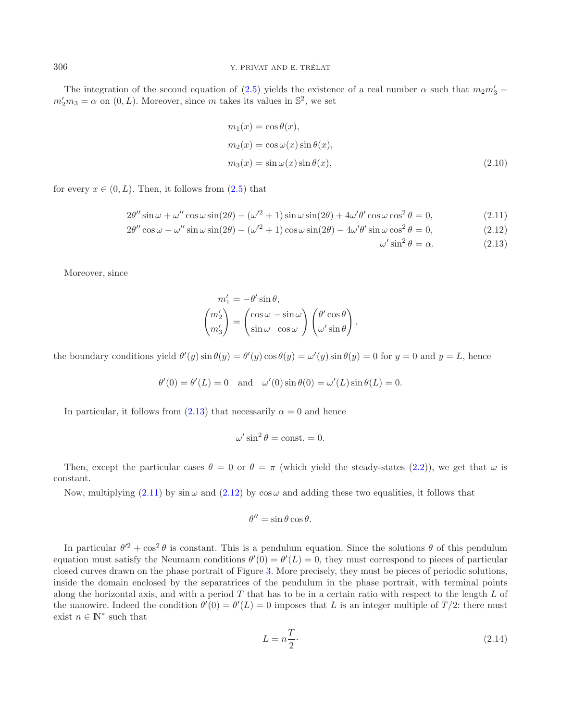The integration of the second equation of [\(2.5\)](#page-4-3) yields the existence of a real number  $\alpha$  such that  $m_2m'_3$  –  $m'_2m_3 = \alpha$  on  $(0, L)$ . Moreover, since m takes its values in  $\mathbb{S}^2$ , we set

$$
m_1(x) = \cos \theta(x),
$$
  
\n
$$
m_2(x) = \cos \omega(x) \sin \theta(x),
$$
  
\n
$$
m_3(x) = \sin \omega(x) \sin \theta(x),
$$
\n(2.10)

 $\omega$ 

<span id="page-5-0"></span>for every  $x \in (0, L)$ . Then, it follows from  $(2.5)$  that

$$
2\theta''\sin\omega + \omega''\cos\omega\sin(2\theta) - (\omega'^2 + 1)\sin\omega\sin(2\theta) + 4\omega'\theta'\cos\omega\cos^2\theta = 0,
$$
\n(2.11)

$$
2\theta''\cos\omega - \omega''\sin\omega\sin(2\theta) - (\omega'^2 + 1)\cos\omega\sin(2\theta) - 4\omega'\theta'\sin\omega\cos^2\theta = 0,
$$
\n(2.12)

$$
y' \sin^2 \theta = \alpha. \tag{2.13}
$$

Moreover, since

$$
\begin{split} m_1' &= -\theta' \sin \theta, \\ \begin{pmatrix} m_2' \\ m_3' \end{pmatrix} &= \begin{pmatrix} \cos \omega - \sin \omega \\ \sin \omega & \cos \omega \end{pmatrix} \begin{pmatrix} \theta' \cos \theta \\ \omega' \sin \theta \end{pmatrix}, \end{split}
$$

the boundary conditions yield  $\theta'(y) \sin \theta(y) = \theta'(y) \cos \theta(y) = \omega'(y) \sin \theta(y) = 0$  for  $y = 0$  and  $y = L$ , hence

$$
\theta'(0) = \theta'(L) = 0 \quad \text{and} \quad \omega'(0) \sin \theta(0) = \omega'(L) \sin \theta(L) = 0.
$$

In particular, it follows from [\(2.13\)](#page-5-0) that necessarily  $\alpha = 0$  and hence

$$
\omega' \sin^2 \theta = \text{const.} = 0.
$$

Then, except the particular cases  $\theta = 0$  or  $\theta = \pi$  (which yield the steady-states [\(2.2\)](#page-4-0)), we get that  $\omega$  is constant.

Now, multiplying [\(2.11\)](#page-5-0) by sin  $\omega$  and [\(2.12\)](#page-5-0) by  $\cos \omega$  and adding these two equalities, it follows that

$$
\theta'' = \sin \theta \cos \theta.
$$

In particular  $\theta'^2 + \cos^2 \theta$  is constant. This is a pendulum equation. Since the solutions  $\theta$  of this pendulum equation must satisfy the Neumann conditions  $\theta'(0) = \theta'(L) = 0$ , they must correspond to pieces of particular closed curves drawn on the phase portrait of Figure [3.](#page-6-0) More precisely, they must be pieces of periodic solutions, inside the domain enclosed by the separatrices of the pendulum in the phase portrait, with terminal points along the horizontal axis, and with a period  $T$  that has to be in a certain ratio with respect to the length  $L$  of the nanowire. Indeed the condition  $\theta'(0) = \theta'(L) = 0$  imposes that L is an integer multiple of  $T/2$ : there must exist  $n \in \mathbb{N}^*$  such that

$$
L = n\frac{T}{2}.\tag{2.14}
$$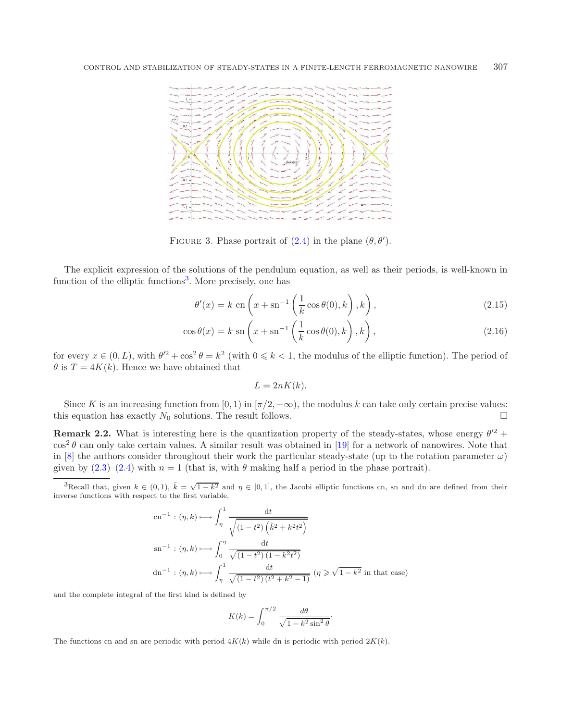<span id="page-6-0"></span>

FIGURE 3. Phase portrait of  $(2.4)$  in the plane  $(\theta, \theta')$ .

The explicit expression of the solutions of the pendulum equation, as well as their periods, is well-known in function of the elliptic functions<sup>[3](#page-6-1)</sup>. More precisely, one has

$$
\theta'(x) = k \operatorname{cn} \left( x + \operatorname{sn}^{-1} \left( \frac{1}{k} \cos \theta(0), k \right), k \right), \tag{2.15}
$$

$$
\cos \theta(x) = k \operatorname{sn} \left( x + \operatorname{sn}^{-1} \left( \frac{1}{k} \cos \theta(0), k \right), k \right), \tag{2.16}
$$

<span id="page-6-1"></span>for every  $x \in (0, L)$ , with  $\theta'^2 + \cos^2 \theta = k^2$  (with  $0 \le k < 1$ , the modulus of the elliptic function). The period of  $\theta$  is  $T = 4K(k)$ . Hence we have obtained that

$$
L = 2nK(k).
$$

Since K is an increasing function from [0, 1) in  $[\pi/2, +\infty)$ , the modulus k can take only certain precise values: this equation has exactly  $N_0$  solutions. The result follows.

**Remark 2.2.** What is interesting here is the quantization property of the steady-states, whose energy  $\theta'^2$  +  $\cos^2 \theta$  can only take certain values. A similar result was obtained in [\[19](#page-21-17)] for a network of nanowires. Note that in [\[8](#page-21-12)] the authors consider throughout their work the particular steady-state (up to the rotation parameter  $\omega$ ) given by  $(2.3)$ – $(2.4)$  with  $n = 1$  (that is, with  $\theta$  making half a period in the phase portrait).

<sup>3</sup>Recall that, given  $k \in (0,1)$ ,  $\tilde{k} = \sqrt{1-k^2}$  and  $\eta \in [0,1]$ , the Jacobi elliptic functions cn, sn and dn are defined from their inverse functions with respect to the first variable,

$$
\text{cn}^{-1}: (\eta, k) \longmapsto \int_{\eta}^{1} \frac{\text{d}t}{\sqrt{(1 - t^2) \left(\tilde{k}^2 + k^2 t^2\right)}}
$$
\n
$$
\text{sn}^{-1}: (\eta, k) \longmapsto \int_{0}^{\eta} \frac{\text{d}t}{\sqrt{(1 - t^2) \left(1 - k^2 t^2\right)}}
$$
\n
$$
\text{dn}^{-1}: (\eta, k) \longmapsto \int_{\eta}^{1} \frac{\text{d}t}{\sqrt{(1 - t^2) \left(t^2 + k^2 - 1\right)}} \ (\eta \geq \sqrt{1 - k^2} \ \text{in that case})
$$

and the complete integral of the first kind is defined by

$$
K(k) = \int_0^{\pi/2} \frac{d\theta}{\sqrt{1 - k^2 \sin^2 \theta}}.
$$

The functions cn and sn are periodic with period  $4K(k)$  while dn is periodic with period  $2K(k)$ .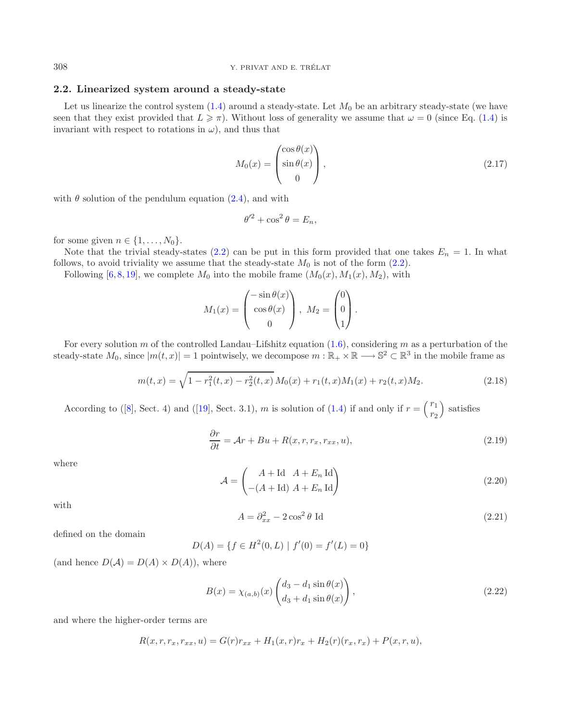### <span id="page-7-3"></span>**2.2. Linearized system around a steady-state**

Let us linearize the control system  $(1.4)$  around a steady-state. Let  $M_0$  be an arbitrary steady-state (we have seen that they exist provided that  $L \geq \pi$ ). Without loss of generality we assume that  $\omega = 0$  (since Eq. [\(1.4\)](#page-1-1) is invariant with respect to rotations in  $\omega$ ), and thus that

$$
M_0(x) = \begin{pmatrix} \cos \theta(x) \\ \sin \theta(x) \\ 0 \end{pmatrix},
$$
\n(2.17)

with  $\theta$  solution of the pendulum equation  $(2.4)$ , and with

<span id="page-7-4"></span><span id="page-7-0"></span>
$$
\theta'^2 + \cos^2 \theta = E_n,
$$

for some given  $n \in \{1, \ldots, N_0\}.$ 

Note that the trivial steady-states [\(2.2\)](#page-4-0) can be put in this form provided that one takes  $E_n = 1$ . In what follows, to avoid triviality we assume that the steady-state  $M_0$  is not of the form [\(2.2\)](#page-4-0).

Following [\[6,](#page-21-14) [8,](#page-21-12) [19\]](#page-21-17), we complete  $M_0$  into the mobile frame  $(M_0(x), M_1(x), M_2)$ , with

$$
M_1(x) = \begin{pmatrix} -\sin \theta(x) \\ \cos \theta(x) \\ 0 \end{pmatrix}, M_2 = \begin{pmatrix} 0 \\ 0 \\ 1 \end{pmatrix}.
$$

<span id="page-7-2"></span><span id="page-7-1"></span>For every solution m of the controlled Landau–Lifshitz equation  $(1.6)$ , considering m as a perturbation of the steady-state  $M_0$ , since  $|m(t, x)| = 1$  pointwisely, we decompose  $m : \mathbb{R}_+ \times \mathbb{R} \longrightarrow \mathbb{S}^2 \subset \mathbb{R}^3$  in the mobile frame as

$$
m(t,x) = \sqrt{1 - r_1^2(t,x) - r_2^2(t,x)} M_0(x) + r_1(t,x)M_1(x) + r_2(t,x)M_2.
$$
 (2.18)

According to ([\[8](#page-21-12)], Sect. 4) and ([\[19\]](#page-21-17), Sect. 3.1), m is solution of [\(1.4\)](#page-1-1) if and only if  $r = \binom{r_1}{r_2}$  $\binom{r_1}{r_2}$  satisfies

<span id="page-7-5"></span>
$$
\frac{\partial r}{\partial t} = \mathcal{A}r + Bu + R(x, r, r_x, r_{xx}, u),\tag{2.19}
$$

where

$$
\mathcal{A} = \begin{pmatrix} A + \text{Id} & A + E_n \text{ Id} \\ -(A + \text{Id}) & A + E_n \text{ Id} \end{pmatrix}
$$
 (2.20)

with

$$
A = \partial_{xx}^2 - 2\cos^2\theta \text{ Id}
$$
 (2.21)

defined on the domain

$$
D(A) = \{ f \in H^2(0, L) \mid f'(0) = f'(L) = 0 \}
$$

(and hence  $D(A) = D(A) \times D(A)$ ), where

$$
B(x) = \chi_{(a,b)}(x) \begin{pmatrix} d_3 - d_1 \sin \theta(x) \\ d_3 + d_1 \sin \theta(x) \end{pmatrix},
$$
\n(2.22)

and where the higher-order terms are

$$
R(x, r, r_x, r_{xx}, u) = G(r)r_{xx} + H_1(x, r)r_x + H_2(r)(r_x, r_x) + P(x, r, u),
$$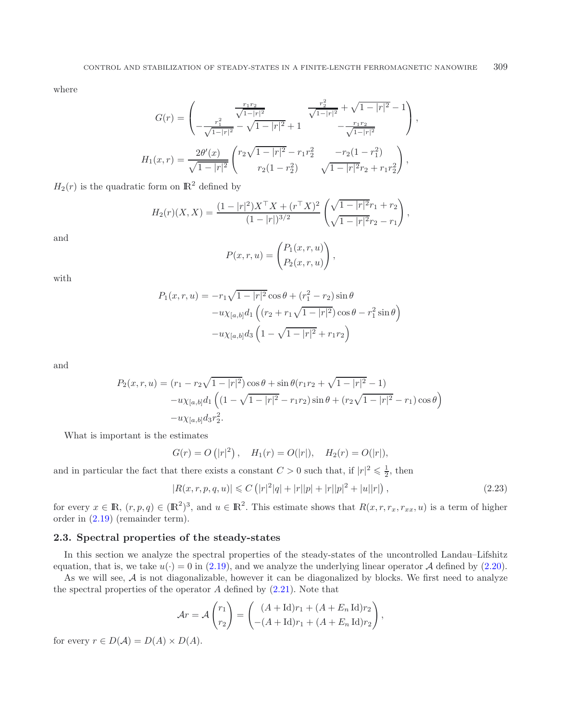where

$$
G(r) = \begin{pmatrix} \frac{r_1r_2}{\sqrt{1-|r|^2}} & \frac{r_2^2}{\sqrt{1-|r|^2}} + \sqrt{1-|r|^2} - 1\\ -\frac{r_1^2}{\sqrt{1-|r|^2}} - \sqrt{1-|r|^2} + 1 & -\frac{r_1r_2}{\sqrt{1-|r|^2}} \end{pmatrix},
$$
  
\n
$$
H_1(x,r) = \frac{2\theta'(x)}{\sqrt{1-|r|^2}} \begin{pmatrix} r_2\sqrt{1-|r|^2} - r_1r_2^2 & -r_2(1-r_1^2) \\ r_2(1-r_2^2) & \sqrt{1-|r|^2}r_2 + r_1r_2^2 \end{pmatrix},
$$

 $H_2(r)$  is the quadratic form on  $\mathbb{R}^2$  defined by

$$
H_2(r)(X,X) = \frac{(1-|r|^2)X^\top X + (r^\top X)^2}{(1-|r|)^{3/2}} \left(\frac{\sqrt{1-|r|^2}r_1+r_2}{\sqrt{1-|r|^2}r_2-r_1}\right),
$$

and

<span id="page-8-1"></span>
$$
P(x,r,u) = \begin{pmatrix} P_1(x,r,u) \\ P_2(x,r,u) \end{pmatrix},
$$

with

$$
P_1(x, r, u) = -r_1 \sqrt{1 - |r|^2} \cos \theta + (r_1^2 - r_2) \sin \theta
$$

$$
-u \chi_{[a,b]} d_1 \left( (r_2 + r_1 \sqrt{1 - |r|^2}) \cos \theta - r_1^2 \sin \theta \right)
$$

$$
-u \chi_{[a,b]} d_3 \left( 1 - \sqrt{1 - |r|^2} + r_1 r_2 \right)
$$

and

$$
P_2(x, r, u) = (r_1 - r_2\sqrt{1 - |r|^2})\cos\theta + \sin\theta(r_1r_2 + \sqrt{1 - |r|^2} - 1)
$$

$$
-u\chi_{[a,b]}d_1\left((1 - \sqrt{1 - |r|^2} - r_1r_2)\sin\theta + (r_2\sqrt{1 - |r|^2} - r_1)\cos\theta\right)
$$

$$
-u\chi_{[a,b]}d_3r_2^2.
$$

What is important is the estimates

$$
G(r) = O(|r|^2)
$$
,  $H_1(r) = O(|r|)$ ,  $H_2(r) = O(|r|)$ ,

and in particular the fact that there exists a constant  $C > 0$  such that, if  $|r|^2 \leq \frac{1}{2}$ , then

$$
|R(x,r,p,q,u)| \leq C\left(|r|^2|q|+|r||p|+|r||p|^2+|u||r|\right),\tag{2.23}
$$

for every  $x \in \mathbb{R}$ ,  $(r, p, q) \in (\mathbb{R}^2)^3$ , and  $u \in \mathbb{R}^2$ . This estimate shows that  $R(x, r, r_x, r_{xx}, u)$  is a term of higher order in [\(2.19\)](#page-7-0) (remainder term).

### <span id="page-8-0"></span>**2.3. Spectral properties of the steady-states**

In this section we analyze the spectral properties of the steady-states of the uncontrolled Landau–Lifshitz equation, that is, we take  $u(\cdot) = 0$  in [\(2.19\)](#page-7-0), and we analyze the underlying linear operator A defined by [\(2.20\)](#page-7-1).

As we will see,  $A$  is not diagonalizable, however it can be diagonalized by blocks. We first need to analyze the spectral properties of the operator  $A$  defined by  $(2.21)$ . Note that

$$
\mathcal{A}r = \mathcal{A}\begin{pmatrix} r_1 \\ r_2 \end{pmatrix} = \begin{pmatrix} (A + \text{Id})r_1 + (A + E_n \text{Id})r_2 \\ -(A + \text{Id})r_1 + (A + E_n \text{Id})r_2 \end{pmatrix},
$$

for every  $r \in D(\mathcal{A}) = D(\mathcal{A}) \times D(\mathcal{A})$ .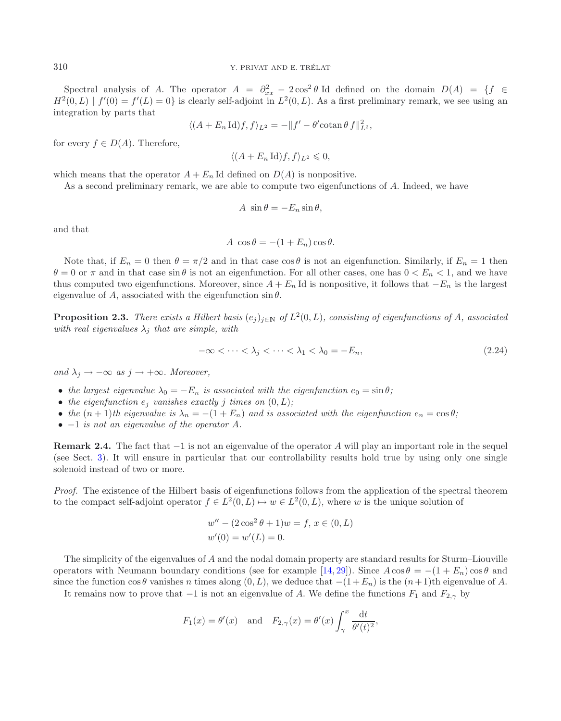Spectral analysis of A. The operator  $A = \partial_{xx}^2 - 2\cos^2\theta$  Id defined on the domain  $D(A) = \{f \in$  $H^2(0,L) | f'(0) = f'(L) = 0$  is clearly self-adjoint in  $L^2(0,L)$ . As a first preliminary remark, we see using an integration by parts that

$$
\langle (A + E_n \operatorname{Id})f, f \rangle_{L^2} = -\|f' - \theta'\operatorname{cotan}\theta f\|_{L^2}^2,
$$

for every  $f \in D(A)$ . Therefore,

 $\langle (A + E_n \mathrm{Id})f, f \rangle_{L^2} \leqslant 0,$ 

which means that the operator  $A + E_n$  Id defined on  $D(A)$  is nonpositive.

As a second preliminary remark, we are able to compute two eigenfunctions of A. Indeed, we have

$$
A \sin \theta = -E_n \sin \theta,
$$

and that

$$
A \cos \theta = -(1 + E_n) \cos \theta.
$$

Note that, if  $E_n = 0$  then  $\theta = \pi/2$  and in that case cos  $\theta$  is not an eigenfunction. Similarly, if  $E_n = 1$  then  $\theta = 0$  or  $\pi$  and in that case sin  $\theta$  is not an eigenfunction. For all other cases, one has  $0 < E_n < 1$ , and we have thus computed two eigenfunctions. Moreover, since  $A + E_n$  Id is nonpositive, it follows that  $-E_n$  is the largest eigenvalue of A, associated with the eigenfunction  $\sin \theta$ .

<span id="page-9-0"></span>**Proposition 2.3.** *There exists a Hilbert basis*  $(e_i)_{i\in\mathbb{N}}$  *of*  $L^2(0,L)$ *, consisting of eigenfunctions of* A*, associated with real eigenvalues*  $\lambda_j$  *that are simple, with* 

$$
-\infty < \cdots < \lambda_j < \cdots < \lambda_1 < \lambda_0 = -E_n,\tag{2.24}
$$

*and*  $\lambda_i \rightarrow -\infty$  *as*  $j \rightarrow +\infty$ *. Moreover,* 

- the largest eigenvalue  $\lambda_0 = -E_n$  is associated with the eigenfunction  $e_0 = \sin \theta$ ;
- *the eigenfunction*  $e_j$  *vanishes exactly j times on*  $(0, L)$ *;*
- *the*  $(n+1)$ *th eigenvalue is*  $\lambda_n = -(1 + E_n)$  *and is associated with the eigenfunction*  $e_n = \cos \theta$ ;
- −1 *is not an eigenvalue of the operator* A*.*

**Remark 2.4.** The fact that −1 is not an eigenvalue of the operator A will play an important role in the sequel (see Sect. [3\)](#page-12-1). It will ensure in particular that our controllability results hold true by using only one single solenoid instead of two or more.

*Proof.* The existence of the Hilbert basis of eigenfunctions follows from the application of the spectral theorem to the compact self-adjoint operator  $f \in L^2(0,L) \mapsto w \in L^2(0,L)$ , where w is the unique solution of

$$
w'' - (2\cos^2\theta + 1)w = f, x \in (0, L)
$$
  

$$
w'(0) = w'(L) = 0.
$$

The simplicity of the eigenvalues of A and the nodal domain property are standard results for Sturm–Liouville operators with Neumann boundary conditions (see for example [\[14,](#page-21-18) [29\]](#page-22-5)). Since  $A \cos \theta = -(1 + E_n) \cos \theta$  and since the function cos  $\theta$  vanishes n times along  $(0, L)$ , we deduce that  $-(1 + E_n)$  is the  $(n + 1)$ th eigenvalue of A.

It remains now to prove that  $-1$  is not an eigenvalue of A. We define the functions  $F_1$  and  $F_{2,\gamma}$  by

$$
F_1(x) = \theta'(x)
$$
 and  $F_{2,\gamma}(x) = \theta'(x) \int_{\gamma}^{x} \frac{dt}{\theta'(t)^2}$ ,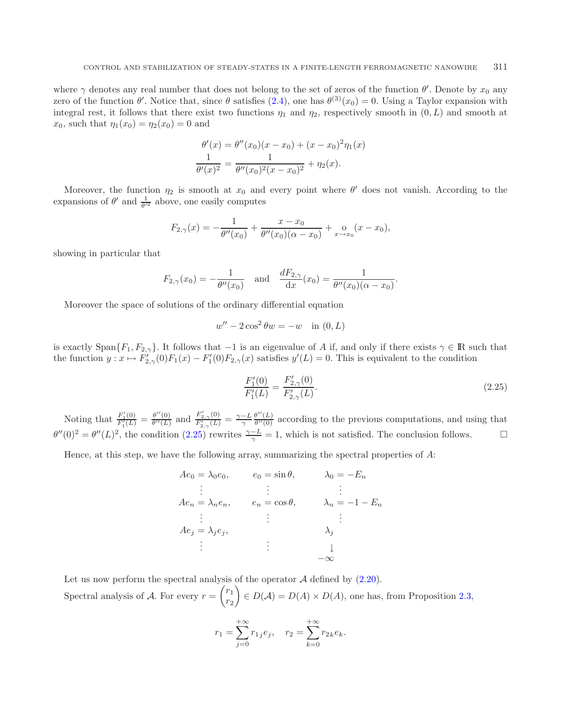where  $\gamma$  denotes any real number that does not belong to the set of zeros of the function  $\theta'$ . Denote by  $x_0$  any zero of the function  $\theta'$ . Notice that, since  $\theta$  satisfies  $(2.4)$ , one has  $\theta^{(3)}(x_0) = 0$ . Using a Taylor expansion with integral rest, it follows that there exist two functions  $\eta_1$  and  $\eta_2$ , respectively smooth in  $(0, L)$  and smooth at  $x_0$ , such that  $\eta_1(x_0) = \eta_2(x_0) = 0$  and

$$
\frac{\theta'(x) = \theta''(x_0)(x - x_0) + (x - x_0)^2 \eta_1(x)}{\theta'(x)^2} = \frac{1}{\theta''(x_0)^2(x - x_0)^2} + \eta_2(x).
$$

Moreover, the function  $\eta_2$  is smooth at  $x_0$  and every point where  $\theta'$  does not vanish. According to the expansions of  $\theta'$  and  $\frac{1}{\theta'^2}$  above, one easily computes

$$
F_{2,\gamma}(x) = -\frac{1}{\theta''(x_0)} + \frac{x - x_0}{\theta''(x_0)(\alpha - x_0)} + \frac{0}{x - x_0}(x - x_0),
$$

showing in particular that

$$
F_{2,\gamma}(x_0) = -\frac{1}{\theta''(x_0)}
$$
 and  $\frac{dF_{2,\gamma}}{dx}(x_0) = \frac{1}{\theta''(x_0)(\alpha - x_0)}$ .

Moreover the space of solutions of the ordinary differential equation

<span id="page-10-0"></span>
$$
w'' - 2\cos^2 \theta w = -w \quad \text{in } (0, L)
$$

is exactly Span $\{F_1, F_{2,\gamma}\}.$  It follows that  $-1$  is an eigenvalue of A if, and only if there exists  $\gamma \in \mathbb{R}$  such that the function  $y: x \mapsto F'_{2,\gamma}(0)F_1(x) - F'_1(0)F_{2,\gamma}(x)$  satisfies  $y'(L) = 0$ . This is equivalent to the condition

$$
\frac{F_1'(0)}{F_1'(L)} = \frac{F_{2,\gamma}'(0)}{F_{2,\gamma}'(L)}.\tag{2.25}
$$

Noting that  $\frac{F'_1(0)}{F'_1(L)} = \frac{\theta''(0)}{\theta''(L)}$  and  $\frac{F'_{2,\gamma}(0)}{F'_{2,\gamma}(L)} = \frac{\gamma - L}{\gamma}$  $\frac{\theta''(L)}{\theta''(0)}$  according to the previous computations, and using that  $\theta''(0)^2 = \theta''(L)^2$ , the condition  $(2.25)$  rewrites  $\frac{\gamma - L}{\gamma} = 1$ , which is not satisfied. The conclusion follows.

Hence, at this step, we have the following array, summarizing the spectral properties of  $A$ :

$$
Ae_0 = \lambda_0 e_0, \t e_0 = \sin \theta, \t \lambda_0 = -E_n
$$
  
\n
$$
\vdots \t \vdots \t \vdots \t \vdots
$$
  
\n
$$
Ae_n = \lambda_n e_n, \t e_n = \cos \theta, \t \lambda_n = -1 - E_n
$$
  
\n
$$
\vdots \t \vdots \t \vdots
$$
  
\n
$$
Ae_j = \lambda_j e_j,
$$
  
\n
$$
\vdots \t \t \vdots
$$
  
\n
$$
-\infty
$$

Let us now perform the spectral analysis of the operator  $A$  defined by  $(2.20)$ . Spectral analysis of A. For every  $r = \begin{pmatrix} r_1 \\ r_2 \end{pmatrix}$  $r_2$  $\Big\} \in D(\mathcal{A}) = D(\mathcal{A}) \times D(\mathcal{A}),$  one has, from Proposition [2.3,](#page-9-0)

$$
r_1 = \sum_{j=0}^{+\infty} r_{1j} e_j, \quad r_2 = \sum_{k=0}^{+\infty} r_{2k} e_k.
$$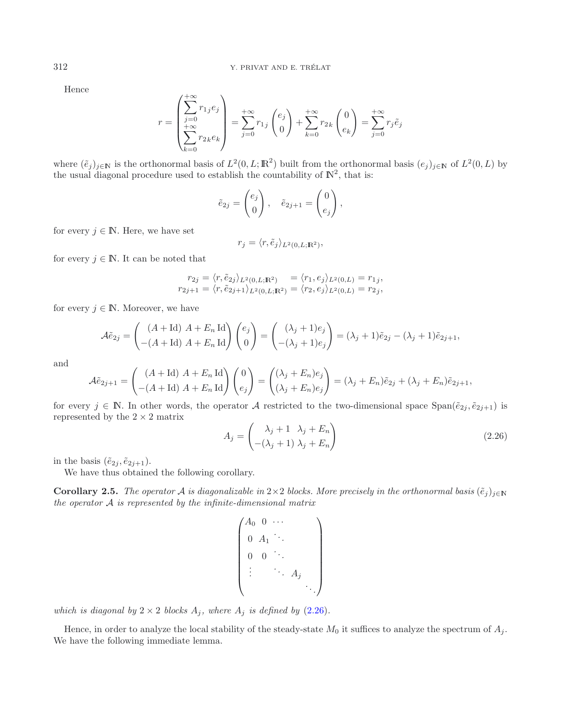Hence

$$
r = \begin{pmatrix} +\infty \\ \sum_{j=0}^{+\infty} r_{1j} e_j \\ +\infty \\ \sum_{k=0}^{+\infty} r_{2k} e_k \end{pmatrix} = \sum_{j=0}^{+\infty} r_{1j} \begin{pmatrix} e_j \\ 0 \end{pmatrix} + \sum_{k=0}^{+\infty} r_{2k} \begin{pmatrix} 0 \\ e_k \end{pmatrix} = \sum_{j=0}^{+\infty} r_j \tilde{e}_j
$$

where  $(\tilde{e}_j)_{j\in\mathbb{N}}$  is the orthonormal basis of  $L^2(0, L; \mathbb{R}^2)$  built from the orthonormal basis  $(e_j)_{j\in\mathbb{N}}$  of  $L^2(0, L)$  by the usual diagonal procedure used to establish the countability of  $\mathbb{N}^2$ , that is:

$$
\tilde{e}_{2j} = \begin{pmatrix} e_j \\ 0 \end{pmatrix}, \quad \tilde{e}_{2j+1} = \begin{pmatrix} 0 \\ e_j \end{pmatrix},
$$

for every  $j \in \mathbb{N}$ . Here, we have set

$$
r_j = \langle r, \tilde{e}_j \rangle_{L^2(0,L;\mathbb{R}^2)},
$$

for every  $j \in \mathbb{N}$ . It can be noted that

$$
\begin{aligned}\nr_{2j} &= \langle r, \tilde{e}_{2j} \rangle_{L^2(0, L; \mathbb{R}^2)} = \langle r_1, e_j \rangle_{L^2(0, L)} = r_{1j}, \\
r_{2j+1} &= \langle r, \tilde{e}_{2j+1} \rangle_{L^2(0, L; \mathbb{R}^2)} = \langle r_2, e_j \rangle_{L^2(0, L)} = r_{2j},\n\end{aligned}
$$

for every  $j \in \mathbb{N}$ . Moreover, we have

<span id="page-11-0"></span>
$$
\tilde{\mathcal{A}}\tilde{e}_{2j} = \begin{pmatrix} (A + \text{Id}) A + E_n \text{Id} \\ -(A + \text{Id}) A + E_n \text{Id} \end{pmatrix} \begin{pmatrix} e_j \\ 0 \end{pmatrix} = \begin{pmatrix} (\lambda_j + 1)e_j \\ -(\lambda_j + 1)e_j \end{pmatrix} = (\lambda_j + 1)\tilde{e}_{2j} - (\lambda_j + 1)\tilde{e}_{2j+1},
$$

and

$$
\mathcal{A}\tilde{e}_{2j+1} = \begin{pmatrix} (A + \text{Id}) A + E_n \text{Id} \\ -(A + \text{Id}) A + E_n \text{Id} \end{pmatrix} \begin{pmatrix} 0 \\ e_j \end{pmatrix} = \begin{pmatrix} (\lambda_j + E_n)e_j \\ (\lambda_j + E_n)e_j \end{pmatrix} = (\lambda_j + E_n)\tilde{e}_{2j} + (\lambda_j + E_n)\tilde{e}_{2j+1},
$$

for every  $j \in \mathbb{N}$ . In other words, the operator A restricted to the two-dimensional space  $\text{Span}(\tilde{e}_{2j}, \tilde{e}_{2j+1})$  is represented by the  $2 \times 2$  matrix

$$
A_j = \begin{pmatrix} \lambda_j + 1 & \lambda_j + E_n \\ -(\lambda_j + 1) & \lambda_j + E_n \end{pmatrix}
$$
 (2.26)

<span id="page-11-1"></span>in the basis  $(\tilde{e}_{2j}, \tilde{e}_{2j+1}).$ 

We have thus obtained the following corollary.

**Corollary 2.5.** *The operator* A *is diagonalizable in*  $2 \times 2$  *blocks. More precisely in the orthonormal basis*  $(\tilde{e}_j)_{j \in \mathbb{N}}$ *the operator* A *is represented by the infinite-dimensional matrix*

$$
\begin{pmatrix}\nA_0 & 0 & \cdots & & & \\
0 & A_1 & \ddots & & & \\
0 & 0 & \ddots & & & \\
\vdots & & \ddots & A_j & & \\
& & & & \ddots\n\end{pmatrix}
$$

*which is diagonal by*  $2 \times 2$  *blocks*  $A_j$ *, where*  $A_j$  *is defined by* [\(2.26\)](#page-11-0)*.* 

<span id="page-11-2"></span>Hence, in order to analyze the local stability of the steady-state  $M_0$  it suffices to analyze the spectrum of  $A_j$ . We have the following immediate lemma.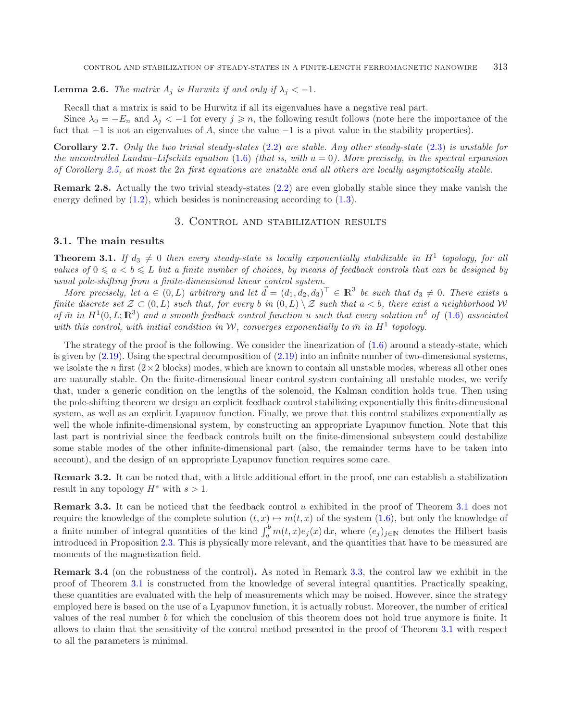**Lemma 2.6.** *The matrix*  $A_i$  *is Hurwitz if and only if*  $\lambda_i < -1$ *.* 

Recall that a matrix is said to be Hurwitz if all its eigenvalues have a negative real part.

Since  $\lambda_0 = -E_n$  and  $\lambda_j < -1$  for every  $j \geq n$ , the following result follows (note here the importance of the fact that  $-1$  is not an eigenvalues of A, since the value  $-1$  is a pivot value in the stability properties).

**Corollary 2.7.** *Only the two trivial steady-states* [\(2.2\)](#page-4-0) *are stable. Any other steady-state* [\(2.3\)](#page-4-1) *is unstable for the uncontrolled Landau–Lifschitz equation*  $(1.6)$  *(that is, with*  $u = 0$ *). More precisely, in the spectral expansion of Corollary [2.5,](#page-11-1) at most the* 2n *first equations are unstable and all others are locally asymptotically stable.*

<span id="page-12-1"></span>**Remark 2.8.** Actually the two trivial steady-states [\(2.2\)](#page-4-0) are even globally stable since they make vanish the energy defined by  $(1.2)$ , which besides is nonincreasing according to  $(1.3)$ .

# <span id="page-12-4"></span>3. CONTROL AND STABILIZATION RESULTS

### <span id="page-12-2"></span><span id="page-12-0"></span>**3.1. The main results**

**Theorem 3.1.** *If*  $d_3 \neq 0$  *then every steady-state is locally exponentially stabilizable in*  $H^1$  *topology, for all values of*  $0 \le a \le b \le L$  *but a finite number of choices, by means of feedback controls that can be designed by usual pole-shifting from a finite-dimensional linear control system.*

*More precisely, let*  $a \in (0, L)$  *arbitrary and let*  $\vec{d} = (d_1, d_2, d_3)^T \in \mathbb{R}^3$  *be such that*  $d_3 \neq 0$ *. There exists a finite discrete set*  $\mathcal{Z} \subset (0, L)$  *such that, for every* b *in*  $(0, L) \setminus \mathcal{Z}$  *such that*  $a < b$ *, there exist a neighborhood* W  $\sigma$ *f*  $\bar{m}$  *in*  $H^1(0, L; \mathbb{R}^3)$  *and a smooth feedback control function* u *such that every solution*  $m^{\delta}$  *of* [\(1.6\)](#page-3-2) *associated with this control, with initial condition in* W, converges exponentially to  $\bar{m}$  in  $H^1$  topology.

The strategy of the proof is the following. We consider the linearization of  $(1.6)$  around a steady-state, which is given by  $(2.19)$ . Using the spectral decomposition of  $(2.19)$  into an infinite number of two-dimensional systems, we isolate the n first  $(2\times2$  blocks) modes, which are known to contain all unstable modes, whereas all other ones are naturally stable. On the finite-dimensional linear control system containing all unstable modes, we verify that, under a generic condition on the lengths of the solenoid, the Kalman condition holds true. Then using the pole-shifting theorem we design an explicit feedback control stabilizing exponentially this finite-dimensional system, as well as an explicit Lyapunov function. Finally, we prove that this control stabilizes exponentially as well the whole infinite-dimensional system, by constructing an appropriate Lyapunov function. Note that this last part is nontrivial since the feedback controls built on the finite-dimensional subsystem could destabilize some stable modes of the other infinite-dimensional part (also, the remainder terms have to be taken into account), and the design of an appropriate Lyapunov function requires some care.

**Remark 3.2.** It can be noted that, with a little additional effort in the proof, one can establish a stabilization result in any topology  $H^s$  with  $s > 1$ .

<span id="page-12-3"></span>**Remark 3.3.** It can be noticed that the feedback control u exhibited in the proof of Theorem [3.1](#page-12-2) does not require the knowledge of the complete solution  $(t, x) \mapsto m(t, x)$  of the system [\(1.6\)](#page-3-2), but only the knowledge of a finite number of integral quantities of the kind  $\int_a^b m(t, x)e_j(x) dx$ , where  $(e_j)_{j\in\mathbb{N}}$  denotes the Hilbert basis introduced in Proposition [2.3.](#page-9-0) This is physically more relevant, and the quantities that have to be measured are moments of the magnetization field.

**Remark 3.4** (on the robustness of the control)**.** As noted in Remark [3.3,](#page-12-3) the control law we exhibit in the proof of Theorem [3.1](#page-12-2) is constructed from the knowledge of several integral quantities. Practically speaking, these quantities are evaluated with the help of measurements which may be noised. However, since the strategy employed here is based on the use of a Lyapunov function, it is actually robust. Moreover, the number of critical values of the real number b for which the conclusion of this theorem does not hold true anymore is finite. It allows to claim that the sensitivity of the control method presented in the proof of Theorem [3.1](#page-12-2) with respect to all the parameters is minimal.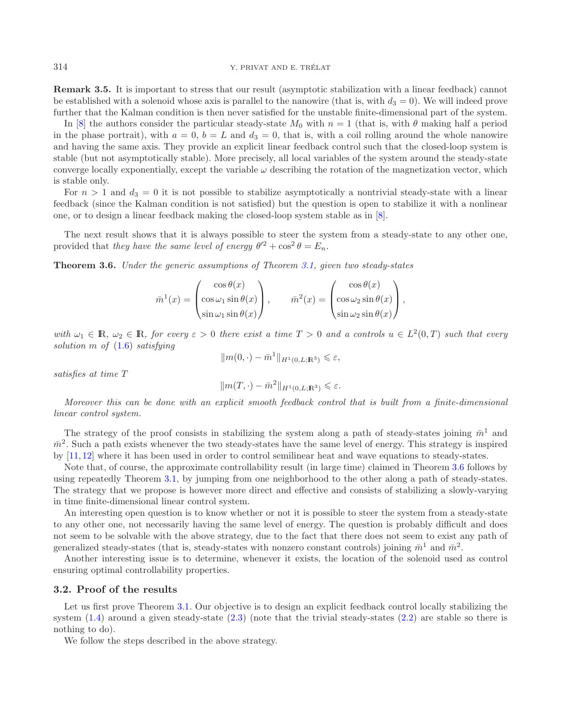#### <span id="page-13-0"></span>314 Y. PRIVAT AND E. TRÉLAT

**Remark 3.5.** It is important to stress that our result (asymptotic stabilization with a linear feedback) cannot be established with a solenoid whose axis is parallel to the nanowire (that is, with  $d_3 = 0$ ). We will indeed prove further that the Kalman condition is then never satisfied for the unstable finite-dimensional part of the system.

In [\[8\]](#page-21-12) the authors consider the particular steady-state  $M_0$  with  $n = 1$  (that is, with  $\theta$  making half a period in the phase portrait), with  $a = 0$ ,  $b = L$  and  $d_3 = 0$ , that is, with a coil rolling around the whole nanowire and having the same axis. They provide an explicit linear feedback control such that the closed-loop system is stable (but not asymptotically stable). More precisely, all local variables of the system around the steady-state converge locally exponentially, except the variable  $\omega$  describing the rotation of the magnetization vector, which is stable only.

For  $n > 1$  and  $d_3 = 0$  it is not possible to stabilize asymptotically a nontrivial steady-state with a linear feedback (since the Kalman condition is not satisfied) but the question is open to stabilize it with a nonlinear one, or to design a linear feedback making the closed-loop system stable as in [\[8](#page-21-12)].

<span id="page-13-1"></span>The next result shows that it is always possible to steer the system from a steady-state to any other one, provided that *they have the same level of energy*  $\theta'^2 + \cos^2 \theta = E_n$ .

**Theorem 3.6.** *Under the generic assumptions of Theorem [3.1,](#page-12-2) given two steady-states*

$$
\bar{m}^{1}(x) = \begin{pmatrix} \cos \theta(x) \\ \cos \omega_{1} \sin \theta(x) \\ \sin \omega_{1} \sin \theta(x) \end{pmatrix}, \qquad \bar{m}^{2}(x) = \begin{pmatrix} \cos \theta(x) \\ \cos \omega_{2} \sin \theta(x) \\ \sin \omega_{2} \sin \theta(x) \end{pmatrix},
$$

*with*  $\omega_1 \in \mathbb{R}$ ,  $\omega_2 \in \mathbb{R}$ , for every  $\varepsilon > 0$  there exist a time  $T > 0$  and a controls  $u \in L^2(0,T)$  such that every *solution* m *of* [\(1.6\)](#page-3-2) *satisfying*

$$
||m(0, \cdot) - \bar{m}^1||_{H^1(0, L; \mathbb{R}^3)} \leq \varepsilon,
$$

*satisfies at time* T

$$
||m(T,\cdot)-\bar{m}^2||_{H^1(0,L;\mathbb{R}^3)} \leqslant \varepsilon.
$$

*Moreover this can be done with an explicit smooth feedback control that is built from a finite-dimensional linear control system.*

The strategy of the proof consists in stabilizing the system along a path of steady-states joining  $\bar{m}^1$  and  $\bar{m}^2$ . Such a path exists whenever the two steady-states have the same level of energy. This strategy is inspired by [\[11](#page-21-19), [12\]](#page-21-20) where it has been used in order to control semilinear heat and wave equations to steady-states.

Note that, of course, the approximate controllability result (in large time) claimed in Theorem [3.6](#page-13-1) follows by using repeatedly Theorem [3.1,](#page-12-2) by jumping from one neighborhood to the other along a path of steady-states. The strategy that we propose is however more direct and effective and consists of stabilizing a slowly-varying in time finite-dimensional linear control system.

An interesting open question is to know whether or not it is possible to steer the system from a steady-state to any other one, not necessarily having the same level of energy. The question is probably difficult and does not seem to be solvable with the above strategy, due to the fact that there does not seem to exist any path of generalized steady-states (that is, steady-states with nonzero constant controls) joining  $\bar{m}^1$  and  $\bar{m}^2$ .

Another interesting issue is to determine, whenever it exists, the location of the solenoid used as control ensuring optimal controllability properties.

### **3.2. Proof of the results**

Let us first prove Theorem [3.1.](#page-12-2) Our objective is to design an explicit feedback control locally stabilizing the system  $(1.4)$  around a given steady-state  $(2.3)$  (note that the trivial steady-states  $(2.2)$  are stable so there is nothing to do).

We follow the steps described in the above strategy.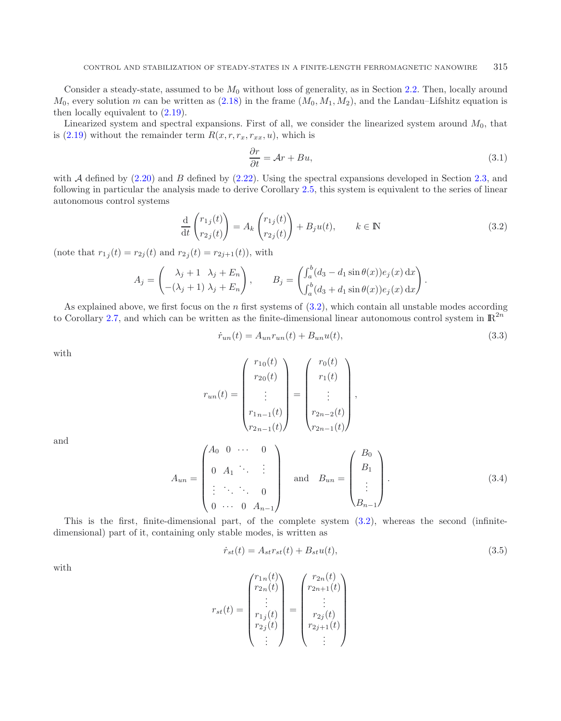<span id="page-14-0"></span>Consider a steady-state, assumed to be  $M_0$  without loss of generality, as in Section [2.2.](#page-7-3) Then, locally around  $M_0$ , every solution m can be written as [\(2.18\)](#page-7-4) in the frame  $(M_0, M_1, M_2)$ , and the Landau–Lifshitz equation is then locally equivalent to [\(2.19\)](#page-7-0).

Linearized system and spectral expansions. First of all, we consider the linearized system around  $M_0$ , that is [\(2.19\)](#page-7-0) without the remainder term  $R(x, r, r_x, r_{xx}, u)$ , which is

<span id="page-14-2"></span><span id="page-14-1"></span>
$$
\frac{\partial r}{\partial t} = \mathcal{A}r + Bu,\tag{3.1}
$$

with  $A$  defined by  $(2.20)$  and  $B$  defined by  $(2.22)$ . Using the spectral expansions developed in Section [2.3,](#page-8-0) and following in particular the analysis made to derive Corollary [2.5,](#page-11-1) this system is equivalent to the series of linear autonomous control systems

$$
\frac{\mathrm{d}}{\mathrm{d}t} \begin{pmatrix} r_{1j}(t) \\ r_{2j}(t) \end{pmatrix} = A_k \begin{pmatrix} r_{1j}(t) \\ r_{2j}(t) \end{pmatrix} + B_j u(t), \qquad k \in \mathbb{N} \tag{3.2}
$$

(note that  $r_{1i}(t) = r_{2i}(t)$  and  $r_{2i}(t) = r_{2i+1}(t)$ ), with

$$
A_j = \begin{pmatrix} \lambda_j + 1 & \lambda_j + E_n \\ -(\lambda_j + 1) & \lambda_j + E_n \end{pmatrix}, \qquad B_j = \begin{pmatrix} \int_a^b (d_3 - d_1 \sin \theta(x)) e_j(x) dx \\ \int_a^b (d_3 + d_1 \sin \theta(x)) e_j(x) dx \end{pmatrix}.
$$

As explained above, we first focus on the  $n$  first systems of  $(3.2)$ , which contain all unstable modes according to Corollary [2.7,](#page-12-4) and which can be written as the finite-dimensional linear autonomous control system in  $\mathbb{R}^{2n}$ 

$$
\dot{r}_{un}(t) = A_{un}r_{un}(t) + B_{un}u(t),
$$
\n(3.3)

with

$$
r_{un}(t) = \begin{pmatrix} r_{10}(t) \\ r_{20}(t) \\ \vdots \\ r_{1n-1}(t) \\ r_{2n-1}(t) \end{pmatrix} = \begin{pmatrix} r_{0}(t) \\ r_{1}(t) \\ \vdots \\ r_{2n-2}(t) \\ r_{2n-1}(t) \end{pmatrix},
$$

and

$$
A_{un} = \begin{pmatrix} A_0 & 0 & \cdots & 0 \\ 0 & A_1 & \ddots & \vdots \\ \vdots & \ddots & \ddots & 0 \\ 0 & \cdots & 0 & A_{n-1} \end{pmatrix} \text{ and } B_{un} = \begin{pmatrix} B_0 \\ B_1 \\ \vdots \\ B_{n-1} \end{pmatrix}.
$$
 (3.4)

This is the first, finite-dimensional part, of the complete system [\(3.2\)](#page-14-0), whereas the second (infinitedimensional) part of it, containing only stable modes, is written as

$$
\dot{r}_{st}(t) = A_{st}r_{st}(t) + B_{st}u(t),\tag{3.5}
$$

with

$$
r_{st}(t) = \begin{pmatrix} r_{1n}(t) \\ r_{2n}(t) \\ \vdots \\ r_{1j}(t) \\ r_{2j}(t) \\ \vdots \end{pmatrix} = \begin{pmatrix} r_{2n}(t) \\ r_{2n+1}(t) \\ \vdots \\ r_{2j}(t) \\ r_{2j+1}(t) \\ \vdots \end{pmatrix}
$$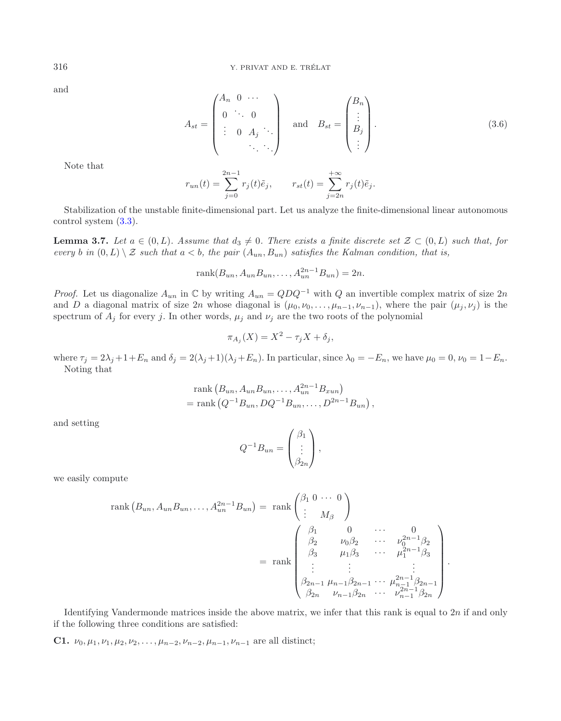and

$$
A_{st} = \begin{pmatrix} A_n & 0 & \cdots \\ 0 & \ddots & 0 \\ \vdots & 0 & A_j & \cdots \\ & & \ddots & \cdots \end{pmatrix} \quad \text{and} \quad B_{st} = \begin{pmatrix} B_n \\ \vdots \\ B_j \\ \vdots \end{pmatrix} . \tag{3.6}
$$

Note that

$$
r_{un}(t) = \sum_{j=0}^{2n-1} r_j(t)\tilde{e}_j, \qquad r_{st}(t) = \sum_{j=2n}^{+\infty} r_j(t)\tilde{e}_j.
$$

<span id="page-15-0"></span>Stabilization of the unstable finite-dimensional part. Let us analyze the finite-dimensional linear autonomous control system [\(3.3\)](#page-14-1).

**Lemma 3.7.** *Let*  $a \in (0, L)$ *. Assume that*  $d_3 \neq 0$ *. There exists a finite discrete set*  $\mathcal{Z} \subset (0, L)$  *such that, for every* b in  $(0, L) \setminus \mathcal{Z}$  *such that*  $a < b$ , the pair  $(A_{un}, B_{un})$  *satisfies the Kalman condition, that is,* 

$$
rank(B_{un}, A_{un}B_{un}, \dots, A_{un}^{2n-1}B_{un}) = 2n.
$$

*Proof.* Let us diagonalize  $A_{un}$  in  $\mathbb C$  by writing  $A_{un} = QDQ^{-1}$  with Q an invertible complex matrix of size 2n and D a diagonal matrix of size 2n whose diagonal is  $(\mu_0, \nu_0, \ldots, \mu_{n-1}, \nu_{n-1})$ , where the pair  $(\mu_i, \nu_i)$  is the spectrum of  $A_j$  for every j. In other words,  $\mu_j$  and  $\nu_j$  are the two roots of the polynomial

$$
\pi_{A_j}(X) = X^2 - \tau_j X + \delta_j,
$$

where  $\tau_j = 2\lambda_j + 1 + E_n$  and  $\delta_j = 2(\lambda_j + 1)(\lambda_j + E_n)$ . In particular, since  $\lambda_0 = -E_n$ , we have  $\mu_0 = 0$ ,  $\nu_0 = 1 - E_n$ . Noting that

rank 
$$
(B_{un}, A_{un}B_{un},..., A_{un}^{2n-1}B_{xun})
$$
  
= rank  $(Q^{-1}B_{un}, DQ^{-1}B_{un},..., D^{2n-1}B_{un})$ ,

and setting

$$
Q^{-1}B_{un} = \begin{pmatrix} \beta_1 \\ \vdots \\ \beta_{2n} \end{pmatrix},
$$

we easily compute

rank 
$$
(B_{un}, A_{un}B_{un},..., A_{un}^{2n-1}B_{un})
$$
 = rank  $\begin{pmatrix} \beta_1 & 0 & \cdots & 0 \\ \vdots & M_{\beta} & \end{pmatrix}$   
\n= rank  $\begin{pmatrix} \beta_1 & 0 & \cdots & 0 \\ \beta_2 & \nu_0\beta_2 & \cdots & \nu_0^{2n-1}\beta_2 \\ \beta_3 & \mu_1\beta_3 & \cdots & \mu_1^{2n-1}\beta_3 \\ \vdots & \vdots & \vdots & \vdots \\ \beta_{2n-1} & \mu_{n-1}\beta_{2n-1} & \cdots & \mu_{n-1}^{2n-1}\beta_{2n-1} \\ \beta_{2n} & \nu_{n-1}\beta_{2n} & \cdots & \nu_{n-1}^{2n-1}\beta_{2n} \end{pmatrix}$ .

Identifying Vandermonde matrices inside the above matrix, we infer that this rank is equal to 2n if and only if the following three conditions are satisfied:

**C1.**  $\nu_0, \mu_1, \nu_1, \mu_2, \nu_2, \ldots, \mu_{n-2}, \nu_{n-2}, \mu_{n-1}, \nu_{n-1}$  are all distinct;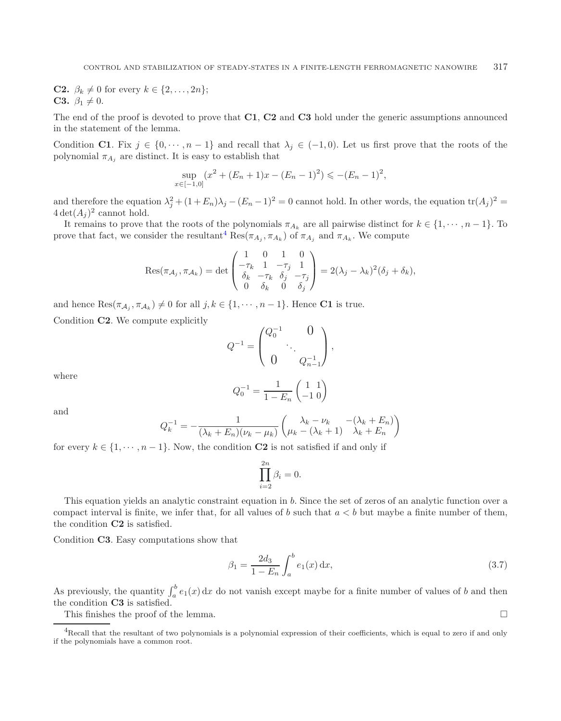**C2.**  $\beta_k \neq 0$  for every  $k \in \{2, ..., 2n\};$ **C3.**  $\beta_1 \neq 0$ .

The end of the proof is devoted to prove that **C1**, **C2** and **C3** hold under the generic assumptions announced in the statement of the lemma.

Condition **C1**. Fix  $j \in \{0, \dots, n-1\}$  and recall that  $\lambda_j \in (-1, 0)$ . Let us first prove that the roots of the polynomial  $\pi_{A_i}$  are distinct. It is easy to establish that

$$
\sup_{x \in [-1,0]} (x^2 + (E_n + 1)x - (E_n - 1)^2) \leqslant -(E_n - 1)^2,
$$

and therefore the equation  $\lambda_i^2 + (1 + E_n)\lambda_j - (E_n - 1)^2 = 0$  cannot hold. In other words, the equation  $\text{tr}(A_j)^2 =$  $4 \det(A_i)^2$  cannot hold.

It remains to prove that the roots of the polynomials  $\pi_{A_k}$  are all pairwise distinct for  $k \in \{1, \dots, n-1\}$ . To prove that fact, we consider the resultant<sup>[4](#page-16-0)</sup> Res $(\pi_{A_i}, \pi_{A_k})$  of  $\pi_{A_i}$  and  $\pi_{A_k}$ . We compute

$$
\operatorname{Res}(\pi_{\mathcal{A}_j}, \pi_{\mathcal{A}_k}) = \det \begin{pmatrix} 1 & 0 & 1 & 0 \\ -\tau_k & 1 & -\tau_j & 1 \\ \delta_k & -\tau_k & \delta_j & -\tau_j \\ 0 & \delta_k & 0 & \delta_j \end{pmatrix} = 2(\lambda_j - \lambda_k)^2(\delta_j + \delta_k),
$$

and hence  $\text{Res}(\pi_{\mathcal{A}_i}, \pi_{\mathcal{A}_k}) \neq 0$  for all  $j, k \in \{1, \cdots, n-1\}$ . Hence **C1** is true.

Condition **C2**. We compute explicitly

$$
Q^{-1} = \begin{pmatrix} Q_0^{-1} & 0 \\ & \ddots & \\ 0 & Q_{n-1}^{-1} \end{pmatrix},
$$

where

$$
Q_0^{-1} = \frac{1}{1 - E_n} \begin{pmatrix} 1 & 1 \\ -1 & 0 \end{pmatrix}
$$

and

<span id="page-16-1"></span>
$$
Q_k^{-1} = -\frac{1}{(\lambda_k + E_n)(\nu_k - \mu_k)} \begin{pmatrix} \lambda_k - \nu_k & -(\lambda_k + E_n) \\ \mu_k - (\lambda_k + 1) & \lambda_k + E_n \end{pmatrix}
$$

for every  $k \in \{1, \dots, n-1\}$ . Now, the condition **C2** is not satisfied if and only if

$$
\prod_{i=2}^{2n} \beta_i = 0.
$$

<span id="page-16-0"></span>This equation yields an analytic constraint equation in b. Since the set of zeros of an analytic function over a compact interval is finite, we infer that, for all values of b such that  $a < b$  but maybe a finite number of them, the condition **C2** is satisfied.

Condition **C3**. Easy computations show that

$$
\beta_1 = \frac{2d_3}{1 - E_n} \int_a^b e_1(x) \, dx,\tag{3.7}
$$

As previously, the quantity  $\int_a^b e_1(x) dx$  do not vanish except maybe for a finite number of values of b and then the condition **C3** is satisfied.

This finishes the proof of the lemma.  $\Box$ 

<sup>4</sup>Recall that the resultant of two polynomials is a polynomial expression of their coefficients, which is equal to zero if and only if the polynomials have a common root.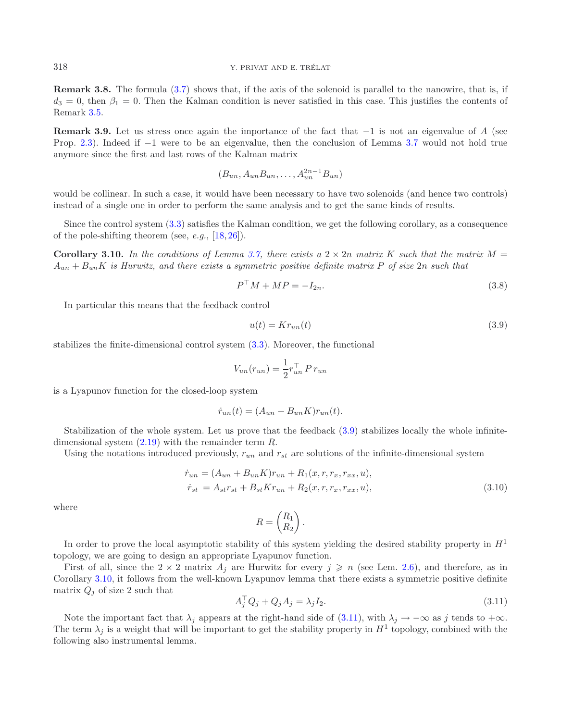**Remark 3.8.** The formula [\(3.7\)](#page-16-1) shows that, if the axis of the solenoid is parallel to the nanowire, that is, if  $d_3 = 0$ , then  $\beta_1 = 0$ . Then the Kalman condition is never satisfied in this case. This justifies the contents of Remark [3.5.](#page-13-0)

**Remark 3.9.** Let us stress once again the importance of the fact that −1 is not an eigenvalue of A (see Prop. [2.3\)](#page-9-0). Indeed if −1 were to be an eigenvalue, then the conclusion of Lemma [3.7](#page-15-0) would not hold true anymore since the first and last rows of the Kalman matrix

<span id="page-17-4"></span><span id="page-17-0"></span>
$$
(B_{un}, A_{un}B_{un}, \ldots, A_{un}^{2n-1}B_{un})
$$

would be collinear. In such a case, it would have been necessary to have two solenoids (and hence two controls) instead of a single one in order to perform the same analysis and to get the same kinds of results.

<span id="page-17-1"></span>Since the control system [\(3.3\)](#page-14-1) satisfies the Kalman condition, we get the following corollary, as a consequence of the pole-shifting theorem (see, *e.g.*, [\[18,](#page-21-21) [26\]](#page-22-6)).

**Corollary 3.10.** In the conditions of Lemma [3.7,](#page-15-0) there exists a  $2 \times 2n$  matrix K such that the matrix  $M =$ Aun + BunK *is Hurwitz, and there exists a symmetric positive definite matrix* P *of size* 2n *such that*

$$
P^{\top}M + MP = -I_{2n}.\tag{3.8}
$$

In particular this means that the feedback control

$$
u(t) = Kr_{un}(t) \tag{3.9}
$$

stabilizes the finite-dimensional control system [\(3.3\)](#page-14-1). Moreover, the functional

$$
V_{un}(r_{un}) = \frac{1}{2}r_{un}^{\top} P r_{un}
$$

is a Lyapunov function for the closed-loop system

$$
\dot{r}_{un}(t) = (A_{un} + B_{un}K)r_{un}(t).
$$

Stabilization of the whole system. Let us prove that the feedback [\(3.9\)](#page-17-0) stabilizes locally the whole infinitedimensional system  $(2.19)$  with the remainder term R.

<span id="page-17-3"></span><span id="page-17-2"></span>Using the notations introduced previously,  $r_{un}$  and  $r_{st}$  are solutions of the infinite-dimensional system

$$
\dot{r}_{un} = (A_{un} + B_{un}K)r_{un} + R_1(x, r, r_x, r_{xx}, u), \n\dot{r}_{st} = A_{st}r_{st} + B_{st}Kr_{un} + R_2(x, r, r_x, r_{xx}, u),
$$
\n(3.10)

where

$$
R = \begin{pmatrix} R_1 \\ R_2 \end{pmatrix}.
$$

In order to prove the local asymptotic stability of this system yielding the desired stability property in  $H<sup>1</sup>$ topology, we are going to design an appropriate Lyapunov function.

First of all, since the  $2 \times 2$  matrix  $A_j$  are Hurwitz for every  $j \geq n$  (see Lem. [2.6\)](#page-11-2), and therefore, as in Corollary [3.10,](#page-17-1) it follows from the well-known Lyapunov lemma that there exists a symmetric positive definite matrix  $Q_j$  of size 2 such that

$$
A_j^\top Q_j + Q_j A_j = \lambda_j I_2. \tag{3.11}
$$

Note the important fact that  $\lambda_j$  appears at the right-hand side of [\(3.11\)](#page-17-2), with  $\lambda_j \to -\infty$  as j tends to  $+\infty$ . The term  $\lambda_j$  is a weight that will be important to get the stability property in  $H^1$  topology, combined with the following also instrumental lemma.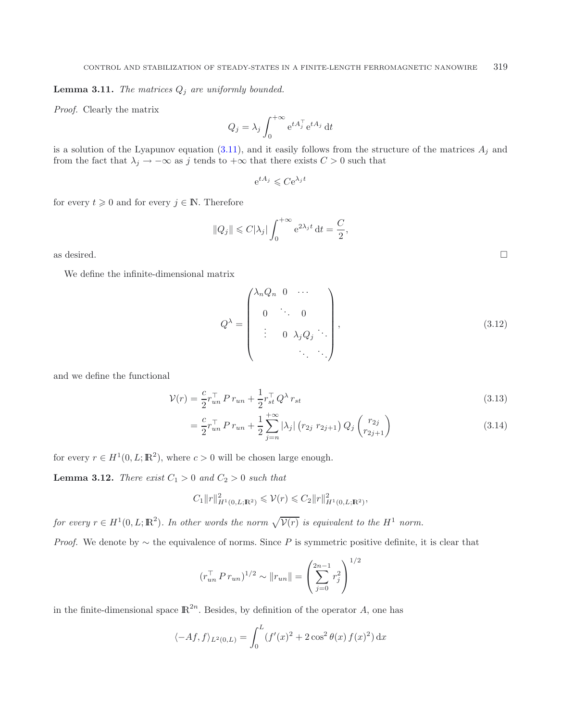**Lemma 3.11.** *The matrices*  $Q_j$  *are uniformly bounded.* 

*Proof.* Clearly the matrix

$$
Q_j = \lambda_j \int_0^{+\infty} e^{tA_j^{\top}} e^{tA_j} dt
$$

is a solution of the Lyapunov equation  $(3.11)$ , and it easily follows from the structure of the matrices  $A_j$  and from the fact that  $\lambda_j \to -\infty$  as j tends to  $+\infty$  that there exists  $C > 0$  such that

$$
e^{tA_j} \leqslant Ce^{\lambda_j t}
$$

for every  $t \geq 0$  and for every  $j \in \mathbb{N}$ . Therefore

$$
||Q_j|| \leq C|\lambda_j| \int_0^{+\infty} e^{2\lambda_j t} dt = \frac{C}{2},
$$

as desired.  $\Box$ 

We define the infinite-dimensional matrix

$$
Q^{\lambda} = \begin{pmatrix} \lambda_n Q_n & 0 & \cdots \\ 0 & \ddots & 0 \\ \vdots & 0 & \lambda_j Q_j & \ddots \\ & & & & \ddots & \ddots \end{pmatrix},
$$
(3.12)

and we define the functional

$$
\mathcal{V}(r) = \frac{c}{2} r_{un}^\top P r_{un} + \frac{1}{2} r_{st}^\top Q^\lambda r_{st}
$$
\n(3.13)

$$
= \frac{c}{2} r_{un}^{\top} P r_{un} + \frac{1}{2} \sum_{j=n}^{+\infty} |\lambda_j| (r_{2j} r_{2j+1}) Q_j \binom{r_{2j}}{r_{2j+1}} \tag{3.14}
$$

<span id="page-18-0"></span>for every  $r \in H^1(0, L; \mathbb{R}^2)$ , where  $c > 0$  will be chosen large enough.

**Lemma 3.12.** *There exist*  $C_1 > 0$  *and*  $C_2 > 0$  *such that* 

$$
C_1 \|r\|_{H^1(0,L;\mathbb{R}^2)}^2 \leqslant \mathcal{V}(r) \leqslant C_2 \|r\|_{H^1(0,L;\mathbb{R}^2)}^2,
$$

*for every*  $r \in H^1(0, L; \mathbb{R}^2)$ *. In other words the norm*  $\sqrt{\mathcal{V}(r)}$  *is equivalent to the*  $H^1$  *norm.* 

*Proof.* We denote by  $\sim$  the equivalence of norms. Since P is symmetric positive definite, it is clear that

$$
(r_{un}^{\top} P r_{un})^{1/2} \sim ||r_{un}|| = \left(\sum_{j=0}^{2n-1} r_j^2\right)^{1/2}
$$

in the finite-dimensional space  $\mathbb{R}^{2n}$ . Besides, by definition of the operator A, one has

$$
\langle -Af, f \rangle_{L^2(0,L)} = \int_0^L (f'(x)^2 + 2\cos^2 \theta(x) f(x)^2) \, dx
$$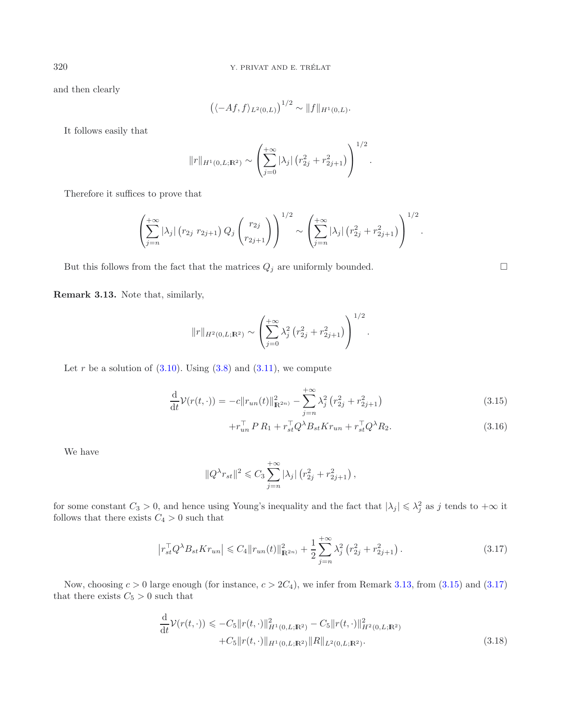and then clearly

$$
((-Af, f)_{L^2(0,L)})^{1/2} \sim ||f||_{H^1(0,L)}.
$$

It follows easily that

$$
\|r\|_{H^1(0,L;\mathbf{R}^2)} \sim \left(\sum_{j=0}^{+\infty} |\lambda_j| \left(r_{2j}^2 + r_{2j+1}^2\right)\right)^{1/2}.
$$

Therefore it suffices to prove that

$$
\left(\sum_{j=n}^{+\infty} |\lambda_j| (r_{2j} \ r_{2j+1}) Q_j \binom{r_{2j}}{r_{2j+1}}\right)^{1/2} \sim \left(\sum_{j=n}^{+\infty} |\lambda_j| (r_{2j}^2 + r_{2j+1}^2)\right)^{1/2}.
$$

But this follows from the fact that the matrices  $Q_j$  are uniformly bounded.  $\Box$ 

<span id="page-19-0"></span>**Remark 3.13.** Note that, similarly,

$$
||r||_{H^2(0,L;\mathbb{R}^2)} \sim \left(\sum_{j=0}^{+\infty} \lambda_j^2 (r_{2j}^2 + r_{2j+1}^2)\right)^{1/2}.
$$

<span id="page-19-1"></span>Let r be a solution of  $(3.10)$ . Using  $(3.8)$  and  $(3.11)$ , we compute

<span id="page-19-2"></span>
$$
\frac{\mathrm{d}}{\mathrm{d}t}\mathcal{V}(r(t,\cdot)) = -c \|r_{un}(t)\|_{\mathbb{R}^{2n}}^2 - \sum_{j=n}^{+\infty} \lambda_j^2 \left(r_{2j}^2 + r_{2j+1}^2\right)
$$
\n(3.15)

$$
+r_{un}^{\top} P R_1 + r_{st}^{\top} Q^{\lambda} B_{st} K r_{un} + r_{st}^{\top} Q^{\lambda} R_2.
$$
 (3.16)

We have

$$
||Q^{\lambda}r_{st}||^{2} \leq C_{3} \sum_{j=n}^{+\infty} |\lambda_{j}| (r_{2j}^{2} + r_{2j+1}^{2}),
$$

for some constant  $C_3 > 0$ , and hence using Young's inequality and the fact that  $|\lambda_j| \leq \lambda_j^2$  as j tends to  $+\infty$  it follows that there exists  $C_4 > 0$  such that

$$
\left| r_{st}^\top Q^\lambda B_{st} K r_{un} \right| \leqslant C_4 \| r_{un}(t) \|_{\mathbb{R}^{2n}}^2 + \frac{1}{2} \sum_{j=n}^{+\infty} \lambda_j^2 \left( r_{2j}^2 + r_{2j+1}^2 \right). \tag{3.17}
$$

<span id="page-19-3"></span>Now, choosing  $c > 0$  large enough (for instance,  $c > 2C_4$ ), we infer from Remark [3.13,](#page-19-0) from [\(3.15\)](#page-19-1) and [\(3.17\)](#page-19-2) that there exists  $C_5 > 0$  such that

$$
\frac{\mathrm{d}}{\mathrm{d}t} \mathcal{V}(r(t,\cdot)) \leqslant -C_5 \|r(t,\cdot)\|_{H^1(0,L;\mathbf{R}^2)}^2 - C_5 \|r(t,\cdot)\|_{H^2(0,L;\mathbf{R}^2)}^2 + C_5 \|r(t,\cdot)\|_{H^1(0,L;\mathbf{R}^2)} \|R\|_{L^2(0,L;\mathbf{R}^2)}.
$$
\n(3.18)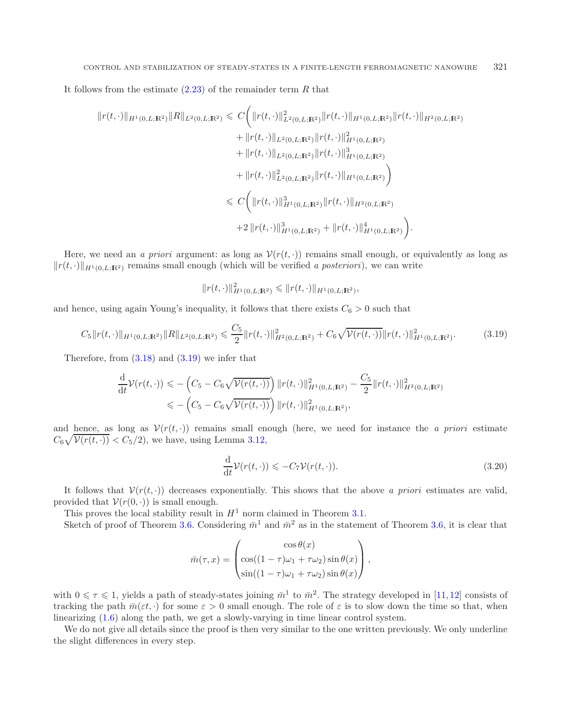It follows from the estimate  $(2.23)$  of the remainder term R that

$$
||r(t,\cdot)||_{H^1(0,L;\mathbb{R}^2)}||R||_{L^2(0,L;\mathbb{R}^2)} \leq C \Big( ||r(t,\cdot)||_{L^2(0,L;\mathbb{R}^2)}^2 ||r(t,\cdot)||_{H^1(0,L;\mathbb{R}^2)} ||r(t,\cdot)||_{H^2(0,L;\mathbb{R}^2)} + ||r(t,\cdot)||_{L^2(0,L;\mathbb{R}^2)} ||r(t,\cdot)||_{H^1(0,L;\mathbb{R}^2)}^2 + ||r(t,\cdot)||_{L^2(0,L;\mathbb{R}^2)} ||r(t,\cdot)||_{H^1(0,L;\mathbb{R}^2)}^3 + ||r(t,\cdot)||_{L^2(0,L;\mathbb{R}^2)} ||r(t,\cdot)||_{H^1(0,L;\mathbb{R}^2)}^3 \Big) \leq C \Big( ||r(t,\cdot)||_{H^1(0,L;\mathbb{R}^2)}^3 ||r(t,\cdot)||_{H^2(0,L;\mathbb{R}^2)} \Big) + 2 ||r(t,\cdot)||_{H^1(0,L;\mathbb{R}^2)}^3 + ||r(t,\cdot)||_{H^1(0,L;\mathbb{R}^2)}^4 \Big).
$$

Here, we need an *a priori* argument: as long as  $\mathcal{V}(r(t, \cdot))$  remains small enough, or equivalently as long as  $||r(t, \cdot)||_{H^1(0,L;\mathbb{R}^2)}$  remains small enough (which will be verified *a posteriori*), we can write

<span id="page-20-1"></span><span id="page-20-0"></span>
$$
||r(t, \cdot)||_{H^1(0, L; \mathbb{R}^2)}^2 \le ||r(t, \cdot)||_{H^1(0, L; \mathbb{R}^2)},
$$

and hence, using again Young's inequality, it follows that there exists  $C_6 > 0$  such that

$$
C_5 \|r(t,\cdot)\|_{H^1(0,L;\mathbb{R}^2)} \|R\|_{L^2(0,L;\mathbb{R}^2)} \leqslant \frac{C_5}{2} \|r(t,\cdot)\|_{H^2(0,L;\mathbb{R}^2)}^2 + C_6 \sqrt{\mathcal{V}(r(t,\cdot))} \|r(t,\cdot)\|_{H^1(0,L;\mathbb{R}^2)}^2. \tag{3.19}
$$

Therefore, from  $(3.18)$  and  $(3.19)$  we infer that

$$
\frac{\mathrm{d}}{\mathrm{d}t} \mathcal{V}(r(t,\cdot)) \leqslant -\left(C_5 - C_6\sqrt{\mathcal{V}(r(t,\cdot))}\right) \|r(t,\cdot)\|_{H^1(0,L;\mathbf{R}^2)}^2 - \frac{C_5}{2} \|r(t,\cdot)\|_{H^2(0,L;\mathbf{R}^2)}^2
$$
\n
$$
\leqslant -\left(C_5 - C_6\sqrt{\mathcal{V}(r(t,\cdot))}\right) \|r(t,\cdot)\|_{H^1(0,L;\mathbf{R}^2)}^2,
$$

and hence, as long as  $V(r(t, \cdot))$  remains small enough (here, we need for instance the *a priori* estimate  $C_6\sqrt{\mathcal{V}(r(t,\cdot))} < C_5/2$ , we have, using Lemma [3.12,](#page-18-0)

$$
\frac{\mathrm{d}}{\mathrm{d}t}\mathcal{V}(r(t,\cdot)) \leqslant -C_7 \mathcal{V}(r(t,\cdot)).\tag{3.20}
$$

It follows that  $V(r(t, \cdot))$  decreases exponentially. This shows that the above *a priori* estimates are valid, provided that  $V(r(0, \cdot))$  is small enough.

This proves the local stability result in  $H^1$  norm claimed in Theorem [3.1.](#page-12-2)

Sketch of proof of Theorem [3.6.](#page-13-1) Considering  $\bar{m}^1$  and  $\bar{m}^2$  as in the statement of Theorem [3.6,](#page-13-1) it is clear that

$$
\bar{m}(\tau, x) = \begin{pmatrix}\n\cos \theta(x) \\
\cos((1 - \tau)\omega_1 + \tau \omega_2) \sin \theta(x) \\
\sin((1 - \tau)\omega_1 + \tau \omega_2) \sin \theta(x)\n\end{pmatrix},
$$

with  $0 \leq \tau \leq 1$ , yields a path of steady-states joining  $\bar{m}^1$  to  $\bar{m}^2$ . The strategy developed in [\[11](#page-21-19), [12\]](#page-21-20) consists of tracking the path  $\bar{m}(\varepsilon t, \cdot)$  for some  $\varepsilon > 0$  small enough. The role of  $\varepsilon$  is to slow down the time so that, when linearizing [\(1.6\)](#page-3-2) along the path, we get a slowly-varying in time linear control system.

We do not give all details since the proof is then very similar to the one written previously. We only underline the slight differences in every step.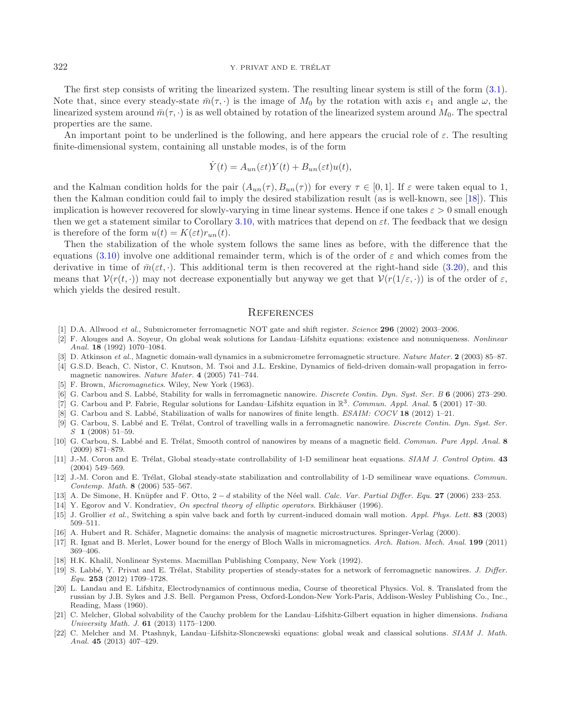#### 322 Y. PRIVAT AND E. TRÉLAT

The first step consists of writing the linearized system. The resulting linear system is still of the form [\(3.1\)](#page-14-2). Note that, since every steady-state  $\bar{m}(\tau, \cdot)$  is the image of  $M_0$  by the rotation with axis  $e_1$  and angle  $\omega$ , the linearized system around  $\bar{m}(\tau, \cdot)$  is as well obtained by rotation of the linearized system around  $M_0$ . The spectral properties are the same.

An important point to be underlined is the following, and here appears the crucial role of  $\varepsilon$ . The resulting finite-dimensional system, containing all unstable modes, is of the form

$$
\dot{Y}(t) = A_{un}(\varepsilon t)Y(t) + B_{un}(\varepsilon t)u(t),
$$

and the Kalman condition holds for the pair  $(A_{un}(\tau), B_{un}(\tau))$  for every  $\tau \in [0,1]$ . If  $\varepsilon$  were taken equal to 1, then the Kalman condition could fail to imply the desired stabilization result (as is well-known, see [\[18\]](#page-21-21)). This implication is however recovered for slowly-varying in time linear systems. Hence if one takes  $\varepsilon > 0$  small enough then we get a statement similar to Corollary [3.10,](#page-17-1) with matrices that depend on  $\varepsilon t$ . The feedback that we design is therefore of the form  $u(t) = K(\varepsilon t) r_{un}(t)$ .

Then the stabilization of the whole system follows the same lines as before, with the difference that the equations [\(3.10\)](#page-17-3) involve one additional remainder term, which is of the order of  $\varepsilon$  and which comes from the derivative in time of  $\bar{m}(\varepsilon t, \cdot)$ . This additional term is then recovered at the right-hand side [\(3.20\)](#page-20-1), and this means that  $V(r(t, \cdot))$  may not decrease exponentially but anyway we get that  $V(r(1/\varepsilon, \cdot))$  is of the order of  $\varepsilon$ . which yields the desired result.

#### **REFERENCES**

- <span id="page-21-9"></span>[1] D.A. Allwood et al., Submicrometer ferromagnetic NOT gate and shift register. Science **296** (2002) 2003–2006.
- <span id="page-21-1"></span>[2] F. Alouges and A. Soyeur, On global weak solutions for Landau–Lifshitz equations: existence and nonuniqueness. Nonlinear Anal. **18** (1992) 1070–1084.
- <span id="page-21-13"></span>[3] D. Atkinson et al., Magnetic domain-wall dynamics in a submicrometre ferromagnetic structure. Nature Mater. **2** (2003) 85–87. [4] G.S.D. Beach, C. Nistor, C. Knutson, M. Tsoi and J.L. Erskine, Dynamics of field-driven domain-wall propagation in ferro-
- <span id="page-21-10"></span>magnetic nanowires. Nature Mater. **4** (2005) 741–744.
- <span id="page-21-5"></span>[5] F. Brown, *Micromagnetics*. Wiley, New York (1963).
- <span id="page-21-14"></span>[6] G. Carbou and S. Labb´e, Stability for walls in ferromagnetic nanowire. Discrete Contin. Dyn. Syst. Ser. B **6** (2006) 273–290.
- [7] G. Carbou and P. Fabrie, Regular solutions for Landau–Lifshitz equation in R3. Commun. Appl. Anal. **5** (2001) 17–30.
- <span id="page-21-12"></span><span id="page-21-2"></span>[8] G. Carbou and S. Labb´e, Stabilization of walls for nanowires of finite length. ESAIM: COCV **18** (2012) 1–21.
- <span id="page-21-15"></span>[9] G. Carbou, S. Labbé and E. Trélat, Control of travelling walls in a ferromagnetic nanowire. Discrete Contin. Dyn. Syst. Ser. S **1** (2008) 51–59.
- <span id="page-21-16"></span>[10] G. Carbou, S. Labbé and E. Trélat, Smooth control of nanowires by means of a magnetic field. Commun. Pure Appl. Anal. 8 (2009) 871–879.
- <span id="page-21-19"></span>[11] J.-M. Coron and E. Trélat, Global steady-state controllability of 1-D semilinear heat equations. SIAM J. Control Optim. 43 (2004) 549–569.
- <span id="page-21-20"></span>[12] J.-M. Coron and E. Trélat, Global steady-state stabilization and controllability of 1-D semilinear wave equations. Commun. Contemp. Math. **8** (2006) 535–567.
- <span id="page-21-7"></span>[13] A. De Simone, H. Kn¨upfer and F. Otto, 2 <sup>−</sup> <sup>d</sup> stability of the N´eel wall. Calc. Var. Partial Differ. Equ. **<sup>27</sup>** (2006) 233–253.
- [14] Y. Egorov and V. Kondratiev, On spectral theory of elliptic operators. Birkhäuser (1996).
- <span id="page-21-18"></span><span id="page-21-11"></span>[15] J. Grollier et al., Switching a spin valve back and forth by current-induced domain wall motion. Appl. Phys. Lett. **83** (2003) 509–511.
- <span id="page-21-6"></span>[16] A. Hubert and R. Schäfer, Magnetic domains: the analysis of magnetic microstructures. Springer-Verlag (2000).
- <span id="page-21-8"></span>[17] R. Ignat and B. Merlet, Lower bound for the energy of Bloch Walls in micromagnetics. Arch. Ration. Mech. Anal. **199** (2011) 369–406.
- <span id="page-21-21"></span>[18] H.K. Khalil, Nonlinear Systems. Macmillan Publishing Company, New York (1992).
- <span id="page-21-17"></span>[19] S. Labbé, Y. Privat and E. Trélat, Stability properties of steady-states for a network of ferromagnetic nanowires. J. Differ. Equ. **253** (2012) 1709–1728.
- <span id="page-21-0"></span>[20] L. Landau and E. Lifshitz, Electrodynamics of continuous media, Course of theoretical Physics. Vol. 8. Translated from the russian by J.B. Sykes and J.S. Bell. Pergamon Press, Oxford-London-New York-Paris, Addison-Wesley Publishing Co., Inc., Reading, Mass (1960).
- <span id="page-21-3"></span>[21] C. Melcher, Global solvability of the Cauchy problem for the Landau–Lifshitz-Gilbert equation in higher dimensions. Indiana University Math. J. **61** (2013) 1175–1200.
- <span id="page-21-4"></span>[22] C. Melcher and M. Ptashnyk, Landau–Lifshitz-Slonczewski equations: global weak and classical solutions. SIAM J. Math. Anal. **45** (2013) 407–429.